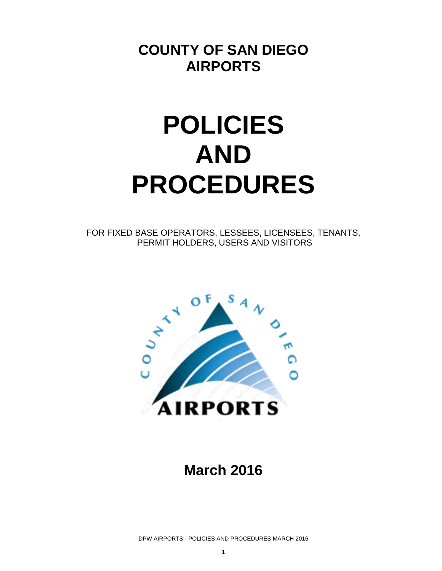### **COUNTY OF SAN DIEGO AIRPORTS**

# **POLICIES AND PROCEDURES**

FOR FIXED BASE OPERATORS, LESSEES, LICENSEES, TENANTS, PERMIT HOLDERS, USERS AND VISITORS



### **March 2016**

DPW AIRPORTS - POLICIES AND PROCEDURES MARCH 2016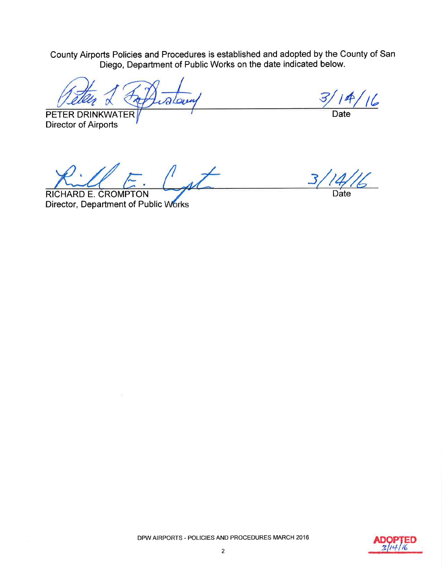County Airports Policies and Procedures is established and adopted by the County of San<br>Diego, Department of Public Works on the date indicated below.

PETER DRINKWATER **Director of Airports** 

 $114/16$  $\overline{3}$ 

Date

Date

RICHARD E. CROMPTON Director, Department of Public Works

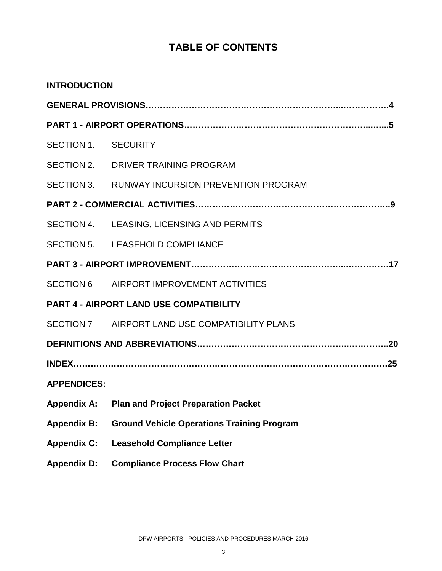### **TABLE OF CONTENTS**

| <b>INTRODUCTION</b> |                                                   |
|---------------------|---------------------------------------------------|
|                     |                                                   |
|                     |                                                   |
| SECTION 1. SECURITY |                                                   |
|                     | SECTION 2. DRIVER TRAINING PROGRAM                |
|                     | SECTION 3. RUNWAY INCURSION PREVENTION PROGRAM    |
|                     |                                                   |
|                     | SECTION 4. LEASING, LICENSING AND PERMITS         |
|                     | SECTION 5. LEASEHOLD COMPLIANCE                   |
|                     |                                                   |
|                     | SECTION 6 AIRPORT IMPROVEMENT ACTIVITIES          |
|                     | <b>PART 4 - AIRPORT LAND USE COMPATIBILITY</b>    |
|                     | SECTION 7 AIRPORT LAND USE COMPATIBILITY PLANS    |
|                     |                                                   |
|                     |                                                   |
| <b>APPENDICES:</b>  |                                                   |
|                     | Appendix A: Plan and Project Preparation Packet   |
| <b>Appendix B:</b>  | <b>Ground Vehicle Operations Training Program</b> |
| <b>Appendix C:</b>  | <b>Leasehold Compliance Letter</b>                |
| <b>Appendix D:</b>  | <b>Compliance Process Flow Chart</b>              |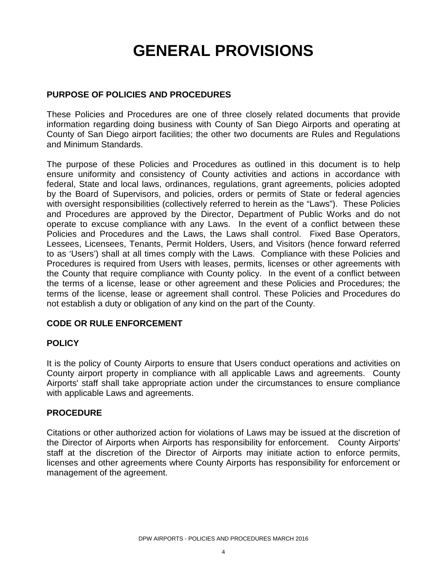## **GENERAL PROVISIONS**

#### **PURPOSE OF POLICIES AND PROCEDURES**

These Policies and Procedures are one of three closely related documents that provide information regarding doing business with County of San Diego Airports and operating at County of San Diego airport facilities; the other two documents are Rules and Regulations and Minimum Standards.

The purpose of these Policies and Procedures as outlined in this document is to help ensure uniformity and consistency of County activities and actions in accordance with federal, State and local laws, ordinances, regulations, grant agreements, policies adopted by the Board of Supervisors, and policies, orders or permits of State or federal agencies with oversight responsibilities (collectively referred to herein as the "Laws"). These Policies and Procedures are approved by the Director, Department of Public Works and do not operate to excuse compliance with any Laws. In the event of a conflict between these Policies and Procedures and the Laws, the Laws shall control. Fixed Base Operators, Lessees, Licensees, Tenants, Permit Holders, Users, and Visitors (hence forward referred to as 'Users') shall at all times comply with the Laws. Compliance with these Policies and Procedures is required from Users with leases, permits, licenses or other agreements with the County that require compliance with County policy. In the event of a conflict between the terms of a license, lease or other agreement and these Policies and Procedures; the terms of the license, lease or agreement shall control. These Policies and Procedures do not establish a duty or obligation of any kind on the part of the County.

#### **CODE OR RULE ENFORCEMENT**

#### **POLICY**

It is the policy of County Airports to ensure that Users conduct operations and activities on County airport property in compliance with all applicable Laws and agreements. County Airports' staff shall take appropriate action under the circumstances to ensure compliance with applicable Laws and agreements.

#### **PROCEDURE**

Citations or other authorized action for violations of Laws may be issued at the discretion of the Director of Airports when Airports has responsibility for enforcement. County Airports' staff at the discretion of the Director of Airports may initiate action to enforce permits, licenses and other agreements where County Airports has responsibility for enforcement or management of the agreement.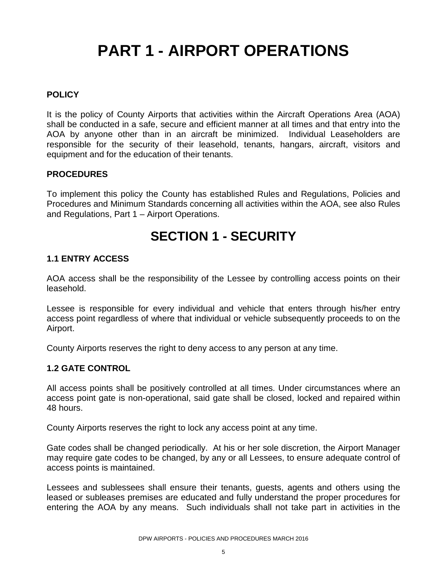## **PART 1 - AIRPORT OPERATIONS**

#### **POLICY**

It is the policy of County Airports that activities within the Aircraft Operations Area (AOA) shall be conducted in a safe, secure and efficient manner at all times and that entry into the AOA by anyone other than in an aircraft be minimized. Individual Leaseholders are responsible for the security of their leasehold, tenants, hangars, aircraft, visitors and equipment and for the education of their tenants.

#### **PROCEDURES**

To implement this policy the County has established Rules and Regulations, Policies and Procedures and Minimum Standards concerning all activities within the AOA, see also Rules and Regulations, Part 1 – Airport Operations.

### **SECTION 1 - SECURITY**

#### **1.1 ENTRY ACCESS**

AOA access shall be the responsibility of the Lessee by controlling access points on their leasehold.

Lessee is responsible for every individual and vehicle that enters through his/her entry access point regardless of where that individual or vehicle subsequently proceeds to on the Airport.

County Airports reserves the right to deny access to any person at any time.

#### **1.2 GATE CONTROL**

All access points shall be positively controlled at all times. Under circumstances where an access point gate is non-operational, said gate shall be closed, locked and repaired within 48 hours.

County Airports reserves the right to lock any access point at any time.

Gate codes shall be changed periodically. At his or her sole discretion, the Airport Manager may require gate codes to be changed, by any or all Lessees, to ensure adequate control of access points is maintained.

Lessees and sublessees shall ensure their tenants, guests, agents and others using the leased or subleases premises are educated and fully understand the proper procedures for entering the AOA by any means. Such individuals shall not take part in activities in the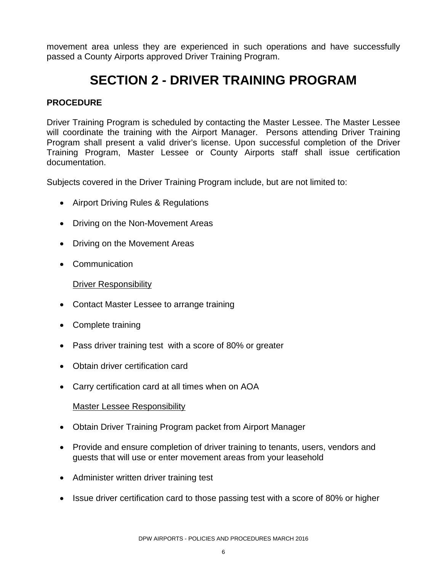movement area unless they are experienced in such operations and have successfully passed a County Airports approved Driver Training Program.

### **SECTION 2 - DRIVER TRAINING PROGRAM**

#### **PROCEDURE**

Driver Training Program is scheduled by contacting the Master Lessee. The Master Lessee will coordinate the training with the Airport Manager. Persons attending Driver Training Program shall present a valid driver's license. Upon successful completion of the Driver Training Program, Master Lessee or County Airports staff shall issue certification documentation.

Subjects covered in the Driver Training Program include, but are not limited to:

- Airport Driving Rules & Regulations
- Driving on the Non-Movement Areas
- Driving on the Movement Areas
- Communication

#### Driver Responsibility

- Contact Master Lessee to arrange training
- Complete training
- Pass driver training test with a score of 80% or greater
- Obtain driver certification card
- Carry certification card at all times when on AOA

#### Master Lessee Responsibility

- Obtain Driver Training Program packet from Airport Manager
- Provide and ensure completion of driver training to tenants, users, vendors and guests that will use or enter movement areas from your leasehold
- Administer written driver training test
- Issue driver certification card to those passing test with a score of 80% or higher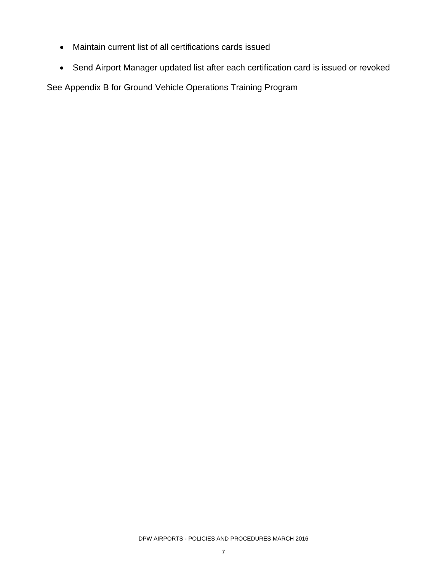- Maintain current list of all certifications cards issued
- Send Airport Manager updated list after each certification card is issued or revoked

See Appendix B for Ground Vehicle Operations Training Program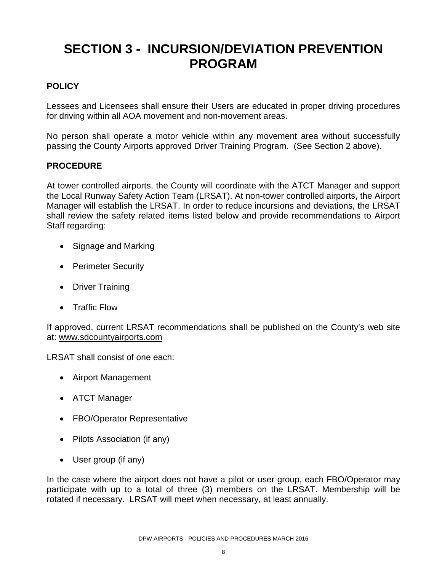### **SECTION 3 - INCURSION/DEVIATION PREVENTION PROGRAM**

#### **POLICY**

Lessees and Licensees shall ensure their Users are educated in proper driving procedures for driving within all AOA movement and non-movement areas.

No person shall operate a motor vehicle within any movement area without successfully passing the County Airports approved Driver Training Program. (See Section 2 above).

#### **PROCEDURE**

At tower controlled airports, the County will coordinate with the ATCT Manager and support the Local Runway Safety Action Team (LRSAT). At non-tower controlled airports, the Airport Manager will establish the LRSAT. In order to reduce incursions and deviations, the LRSAT shall review the safety related items listed below and provide recommendations to Airport Staff regarding:

- Signage and Marking
- Perimeter Security
- Driver Training
- Traffic Flow

If approved, current LRSAT recommendations shall be published on the County's web site at: [www.sdcountyairports.com](http://www.sdcountyairports.com/)

LRSAT shall consist of one each:

- Airport Management
- ATCT Manager
- FBO/Operator Representative
- Pilots Association (if any)
- User group (if any)

In the case where the airport does not have a pilot or user group, each FBO/Operator may participate with up to a total of three (3) members on the LRSAT. Membership will be rotated if necessary. LRSAT will meet when necessary, at least annually.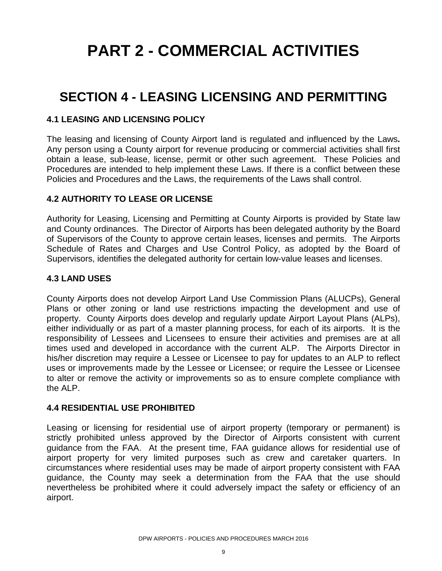## **PART 2 - COMMERCIAL ACTIVITIES**

### **SECTION 4 - LEASING LICENSING AND PERMITTING**

#### **4.1 LEASING AND LICENSING POLICY**

The leasing and licensing of County Airport land is regulated and influenced by the Laws**.**  Any person using a County airport for revenue producing or commercial activities shall first obtain a lease, sub-lease, license, permit or other such agreement.These Policies and Procedures are intended to help implement these Laws. If there is a conflict between these Policies and Procedures and the Laws, the requirements of the Laws shall control.

#### **4.2 AUTHORITY TO LEASE OR LICENSE**

Authority for Leasing, Licensing and Permitting at County Airports is provided by State law and County ordinances. The Director of Airports has been delegated authority by the Board of Supervisors of the County to approve certain leases, licenses and permits. The Airports Schedule of Rates and Charges and Use Control Policy, as adopted by the Board of Supervisors, identifies the delegated authority for certain low-value leases and licenses.

#### **4.3 LAND USES**

County Airports does not develop Airport Land Use Commission Plans (ALUCPs), General Plans or other zoning or land use restrictions impacting the development and use of property. County Airports does develop and regularly update Airport Layout Plans (ALPs), either individually or as part of a master planning process, for each of its airports. It is the responsibility of Lessees and Licensees to ensure their activities and premises are at all times used and developed in accordance with the current ALP. The Airports Director in his/her discretion may require a Lessee or Licensee to pay for updates to an ALP to reflect uses or improvements made by the Lessee or Licensee; or require the Lessee or Licensee to alter or remove the activity or improvements so as to ensure complete compliance with the ALP.

#### **4.4 RESIDENTIAL USE PROHIBITED**

Leasing or licensing for residential use of airport property (temporary or permanent) is strictly prohibited unless approved by the Director of Airports consistent with current guidance from the FAA. At the present time, FAA guidance allows for residential use of airport property for very limited purposes such as crew and caretaker quarters. In circumstances where residential uses may be made of airport property consistent with FAA guidance, the County may seek a determination from the FAA that the use should nevertheless be prohibited where it could adversely impact the safety or efficiency of an airport.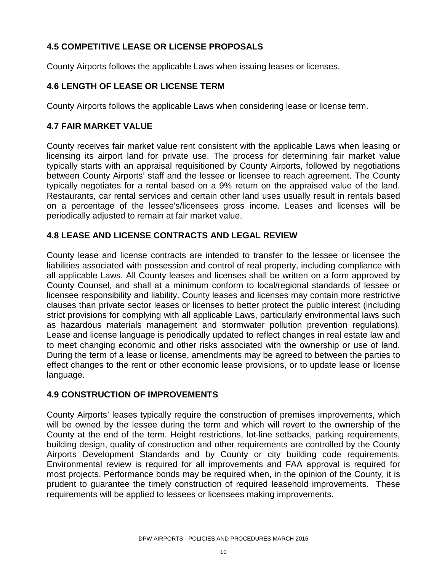#### **4.5 COMPETITIVE LEASE OR LICENSE PROPOSALS**

County Airports follows the applicable Laws when issuing leases or licenses.

#### **4.6 LENGTH OF LEASE OR LICENSE TERM**

County Airports follows the applicable Laws when considering lease or license term.

#### **4.7 FAIR MARKET VALUE**

County receives fair market value rent consistent with the applicable Laws when leasing or licensing its airport land for private use. The process for determining fair market value typically starts with an appraisal requisitioned by County Airports, followed by negotiations between County Airports' staff and the lessee or licensee to reach agreement. The County typically negotiates for a rental based on a 9% return on the appraised value of the land. Restaurants, car rental services and certain other land uses usually result in rentals based on a percentage of the lessee's/licensees gross income. Leases and licenses will be periodically adjusted to remain at fair market value.

#### **4.8 LEASE AND LICENSE CONTRACTS AND LEGAL REVIEW**

County lease and license contracts are intended to transfer to the lessee or licensee the liabilities associated with possession and control of real property, including compliance with all applicable Laws. All County leases and licenses shall be written on a form approved by County Counsel, and shall at a minimum conform to local/regional standards of lessee or licensee responsibility and liability. County leases and licenses may contain more restrictive clauses than private sector leases or licenses to better protect the public interest (including strict provisions for complying with all applicable Laws, particularly environmental laws such as hazardous materials management and stormwater pollution prevention regulations). Lease and license language is periodically updated to reflect changes in real estate law and to meet changing economic and other risks associated with the ownership or use of land. During the term of a lease or license, amendments may be agreed to between the parties to effect changes to the rent or other economic lease provisions, or to update lease or license language.

#### **4.9 CONSTRUCTION OF IMPROVEMENTS**

County Airports' leases typically require the construction of premises improvements, which will be owned by the lessee during the term and which will revert to the ownership of the County at the end of the term. Height restrictions, lot-line setbacks, parking requirements, building design, quality of construction and other requirements are controlled by the County Airports Development Standards and by County or city building code requirements. Environmental review is required for all improvements and FAA approval is required for most projects. Performance bonds may be required when, in the opinion of the County, it is prudent to guarantee the timely construction of required leasehold improvements. These requirements will be applied to lessees or licensees making improvements.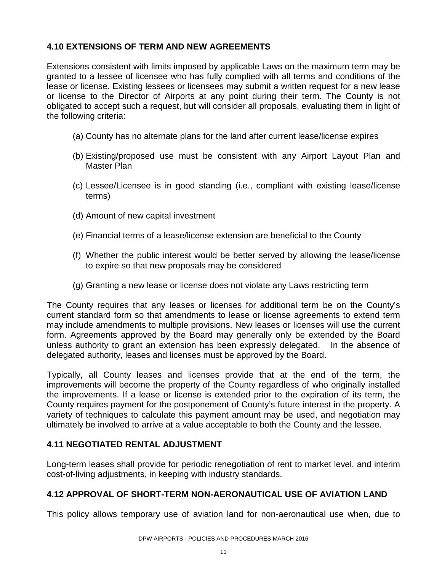#### **4.10 EXTENSIONS OF TERM AND NEW AGREEMENTS**

Extensions consistent with limits imposed by applicable Laws on the maximum term may be granted to a lessee of licensee who has fully complied with all terms and conditions of the lease or license. Existing lessees or licensees may submit a written request for a new lease or license to the Director of Airports at any point during their term. The County is not obligated to accept such a request, but will consider all proposals, evaluating them in light of the following criteria:

- (a) County has no alternate plans for the land after current lease/license expires
- (b) Existing/proposed use must be consistent with any Airport Layout Plan and Master Plan
- (c) Lessee/Licensee is in good standing (i.e., compliant with existing lease/license terms)
- (d) Amount of new capital investment
- (e) Financial terms of a lease/license extension are beneficial to the County
- (f) Whether the public interest would be better served by allowing the lease/license to expire so that new proposals may be considered
- (g) Granting a new lease or license does not violate any Laws restricting term

The County requires that any leases or licenses for additional term be on the County's current standard form so that amendments to lease or license agreements to extend term may include amendments to multiple provisions. New leases or licenses will use the current form. Agreements approved by the Board may generally only be extended by the Board unless authority to grant an extension has been expressly delegated. In the absence of delegated authority, leases and licenses must be approved by the Board.

Typically, all County leases and licenses provide that at the end of the term, the improvements will become the property of the County regardless of who originally installed the improvements. If a lease or license is extended prior to the expiration of its term, the County requires payment for the postponement of County's future interest in the property. A variety of techniques to calculate this payment amount may be used, and negotiation may ultimately be involved to arrive at a value acceptable to both the County and the lessee.

#### **4.11 NEGOTIATED RENTAL ADJUSTMENT**

Long-term leases shall provide for periodic renegotiation of rent to market level, and interim cost-of-living adjustments, in keeping with industry standards.

#### **4.12 APPROVAL OF SHORT-TERM NON-AERONAUTICAL USE OF AVIATION LAND**

This policy allows temporary use of aviation land for non-aeronautical use when, due to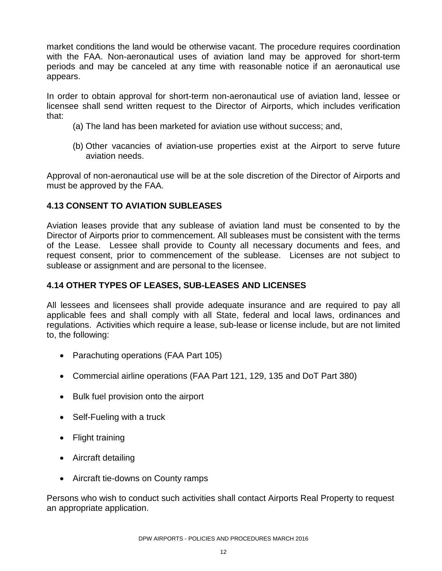market conditions the land would be otherwise vacant. The procedure requires coordination with the FAA. Non-aeronautical uses of aviation land may be approved for short-term periods and may be canceled at any time with reasonable notice if an aeronautical use appears.

In order to obtain approval for short-term non-aeronautical use of aviation land, lessee or licensee shall send written request to the Director of Airports, which includes verification that:

- (a) The land has been marketed for aviation use without success; and,
- (b) Other vacancies of aviation-use properties exist at the Airport to serve future aviation needs.

Approval of non-aeronautical use will be at the sole discretion of the Director of Airports and must be approved by the FAA.

#### **4.13 CONSENT TO AVIATION SUBLEASES**

Aviation leases provide that any sublease of aviation land must be consented to by the Director of Airports prior to commencement. All subleases must be consistent with the terms of the Lease. Lessee shall provide to County all necessary documents and fees, and request consent, prior to commencement of the sublease. Licenses are not subject to sublease or assignment and are personal to the licensee.

#### **4.14 OTHER TYPES OF LEASES, SUB-LEASES AND LICENSES**

All lessees and licensees shall provide adequate insurance and are required to pay all applicable fees and shall comply with all State, federal and local laws, ordinances and regulations. Activities which require a lease, sub-lease or license include, but are not limited to, the following:

- Parachuting operations (FAA Part 105)
- Commercial airline operations (FAA Part 121, 129, 135 and DoT Part 380)
- Bulk fuel provision onto the airport
- Self-Fueling with a truck
- Flight training
- Aircraft detailing
- Aircraft tie-downs on County ramps

Persons who wish to conduct such activities shall contact Airports Real Property to request an appropriate application.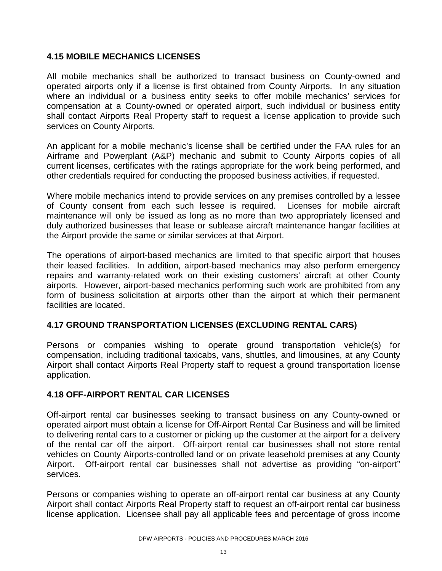#### **4.15 MOBILE MECHANICS LICENSES**

All mobile mechanics shall be authorized to transact business on County-owned and operated airports only if a license is first obtained from County Airports. In any situation where an individual or a business entity seeks to offer mobile mechanics' services for compensation at a County-owned or operated airport, such individual or business entity shall contact Airports Real Property staff to request a license application to provide such services on County Airports.

An applicant for a mobile mechanic's license shall be certified under the FAA rules for an Airframe and Powerplant (A&P) mechanic and submit to County Airports copies of all current licenses, certificates with the ratings appropriate for the work being performed, and other credentials required for conducting the proposed business activities, if requested.

Where mobile mechanics intend to provide services on any premises controlled by a lessee of County consent from each such lessee is required. Licenses for mobile aircraft maintenance will only be issued as long as no more than two appropriately licensed and duly authorized businesses that lease or sublease aircraft maintenance hangar facilities at the Airport provide the same or similar services at that Airport.

The operations of airport-based mechanics are limited to that specific airport that houses their leased facilities. In addition, airport-based mechanics may also perform emergency repairs and warranty-related work on their existing customers' aircraft at other County airports. However, airport-based mechanics performing such work are prohibited from any form of business solicitation at airports other than the airport at which their permanent facilities are located.

#### **4.17 GROUND TRANSPORTATION LICENSES (EXCLUDING RENTAL CARS)**

Persons or companies wishing to operate ground transportation vehicle(s) for compensation, including traditional taxicabs, vans, shuttles, and limousines, at any County Airport shall contact Airports Real Property staff to request a ground transportation license application.

#### **4.18 OFF-AIRPORT RENTAL CAR LICENSES**

Off-airport rental car businesses seeking to transact business on any County-owned or operated airport must obtain a license for Off-Airport Rental Car Business and will be limited to delivering rental cars to a customer or picking up the customer at the airport for a delivery of the rental car off the airport. Off-airport rental car businesses shall not store rental vehicles on County Airports-controlled land or on private leasehold premises at any County Airport. Off-airport rental car businesses shall not advertise as providing "on-airport" services.

Persons or companies wishing to operate an off-airport rental car business at any County Airport shall contact Airports Real Property staff to request an off-airport rental car business license application. Licensee shall pay all applicable fees and percentage of gross income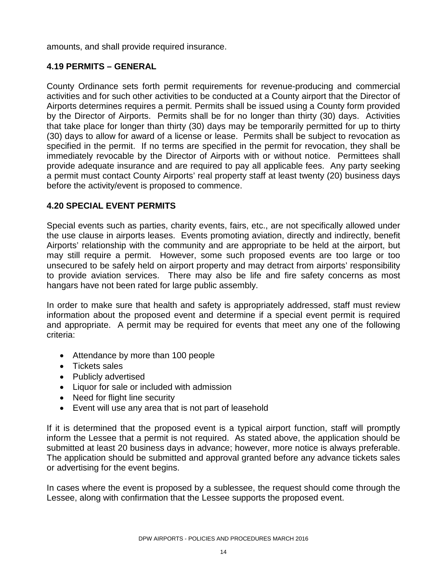amounts, and shall provide required insurance.

#### **4.19 PERMITS – GENERAL**

County Ordinance sets forth permit requirements for revenue-producing and commercial activities and for such other activities to be conducted at a County airport that the Director of Airports determines requires a permit. Permits shall be issued using a County form provided by the Director of Airports. Permits shall be for no longer than thirty (30) days. Activities that take place for longer than thirty (30) days may be temporarily permitted for up to thirty (30) days to allow for award of a license or lease. Permits shall be subject to revocation as specified in the permit. If no terms are specified in the permit for revocation, they shall be immediately revocable by the Director of Airports with or without notice. Permittees shall provide adequate insurance and are required to pay all applicable fees. Any party seeking a permit must contact County Airports' real property staff at least twenty (20) business days before the activity/event is proposed to commence.

#### **4.20 SPECIAL EVENT PERMITS**

Special events such as parties, charity events, fairs, etc., are not specifically allowed under the use clause in airports leases. Events promoting aviation, directly and indirectly, benefit Airports' relationship with the community and are appropriate to be held at the airport, but may still require a permit. However, some such proposed events are too large or too unsecured to be safely held on airport property and may detract from airports' responsibility to provide aviation services. There may also be life and fire safety concerns as most hangars have not been rated for large public assembly.

In order to make sure that health and safety is appropriately addressed, staff must review information about the proposed event and determine if a special event permit is required and appropriate. A permit may be required for events that meet any one of the following criteria:

- Attendance by more than 100 people
- Tickets sales
- Publicly advertised
- Liquor for sale or included with admission
- Need for flight line security
- Event will use any area that is not part of leasehold

If it is determined that the proposed event is a typical airport function, staff will promptly inform the Lessee that a permit is not required. As stated above, the application should be submitted at least 20 business days in advance; however, more notice is always preferable. The application should be submitted and approval granted before any advance tickets sales or advertising for the event begins.

In cases where the event is proposed by a sublessee, the request should come through the Lessee, along with confirmation that the Lessee supports the proposed event.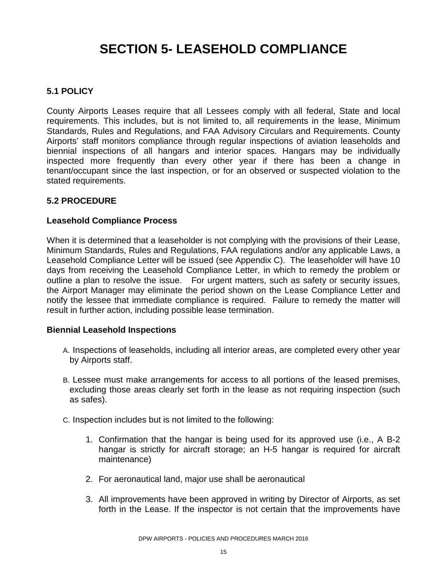### **SECTION 5- LEASEHOLD COMPLIANCE**

#### **5.1 POLICY**

County Airports Leases require that all Lessees comply with all federal, State and local requirements. This includes, but is not limited to, all requirements in the lease, Minimum Standards, Rules and Regulations, and FAA Advisory Circulars and Requirements. County Airports' staff monitors compliance through regular inspections of aviation leaseholds and biennial inspections of all hangars and interior spaces. Hangars may be individually inspected more frequently than every other year if there has been a change in tenant/occupant since the last inspection, or for an observed or suspected violation to the stated requirements.

#### **5.2 PROCEDURE**

#### **Leasehold Compliance Process**

When it is determined that a leaseholder is not complying with the provisions of their Lease, Minimum Standards, Rules and Regulations, FAA regulations and/or any applicable Laws, a Leasehold Compliance Letter will be issued (see Appendix C). The leaseholder will have 10 days from receiving the Leasehold Compliance Letter, in which to remedy the problem or outline a plan to resolve the issue. For urgent matters, such as safety or security issues, the Airport Manager may eliminate the period shown on the Lease Compliance Letter and notify the lessee that immediate compliance is required. Failure to remedy the matter will result in further action, including possible lease termination.

#### **Biennial Leasehold Inspections**

- A. Inspections of leaseholds, including all interior areas, are completed every other year by Airports staff.
- B. Lessee must make arrangements for access to all portions of the leased premises, excluding those areas clearly set forth in the lease as not requiring inspection (such as safes).
- C. Inspection includes but is not limited to the following:
	- 1. Confirmation that the hangar is being used for its approved use (i.e., A B-2 hangar is strictly for aircraft storage; an H-5 hangar is required for aircraft maintenance)
	- 2. For aeronautical land, major use shall be aeronautical
	- 3. All improvements have been approved in writing by Director of Airports, as set forth in the Lease. If the inspector is not certain that the improvements have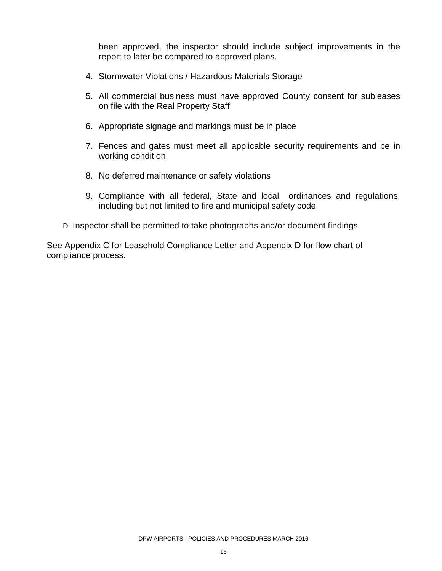been approved, the inspector should include subject improvements in the report to later be compared to approved plans.

- 4. Stormwater Violations / Hazardous Materials Storage
- 5. All commercial business must have approved County consent for subleases on file with the Real Property Staff
- 6. Appropriate signage and markings must be in place
- 7. Fences and gates must meet all applicable security requirements and be in working condition
- 8. No deferred maintenance or safety violations
- 9. Compliance with all federal, State and local ordinances and regulations, including but not limited to fire and municipal safety code
- D. Inspector shall be permitted to take photographs and/or document findings.

See Appendix C for Leasehold Compliance Letter and Appendix D for flow chart of compliance process.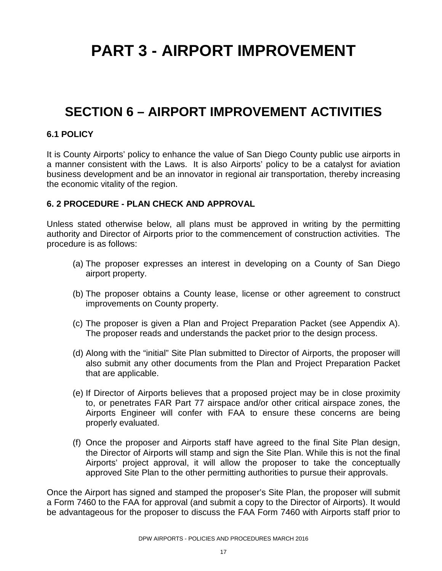## **PART 3 - AIRPORT IMPROVEMENT**

### **SECTION 6 – AIRPORT IMPROVEMENT ACTIVITIES**

#### **6.1 POLICY**

It is County Airports' policy to enhance the value of San Diego County public use airports in a manner consistent with the Laws. It is also Airports' policy to be a catalyst for aviation business development and be an innovator in regional air transportation, thereby increasing the economic vitality of the region.

#### **6. 2 PROCEDURE - PLAN CHECK AND APPROVAL**

Unless stated otherwise below, all plans must be approved in writing by the permitting authority and Director of Airports prior to the commencement of construction activities. The procedure is as follows:

- (a) The proposer expresses an interest in developing on a County of San Diego airport property.
- (b) The proposer obtains a County lease, license or other agreement to construct improvements on County property.
- (c) The proposer is given a Plan and Project Preparation Packet (see Appendix A). The proposer reads and understands the packet prior to the design process.
- (d) Along with the "initial" Site Plan submitted to Director of Airports, the proposer will also submit any other documents from the Plan and Project Preparation Packet that are applicable.
- (e) If Director of Airports believes that a proposed project may be in close proximity to, or penetrates FAR Part 77 airspace and/or other critical airspace zones, the Airports Engineer will confer with FAA to ensure these concerns are being properly evaluated.
- (f) Once the proposer and Airports staff have agreed to the final Site Plan design, the Director of Airports will stamp and sign the Site Plan. While this is not the final Airports' project approval, it will allow the proposer to take the conceptually approved Site Plan to the other permitting authorities to pursue their approvals.

Once the Airport has signed and stamped the proposer's Site Plan, the proposer will submit a Form 7460 to the FAA for approval (and submit a copy to the Director of Airports). It would be advantageous for the proposer to discuss the FAA Form 7460 with Airports staff prior to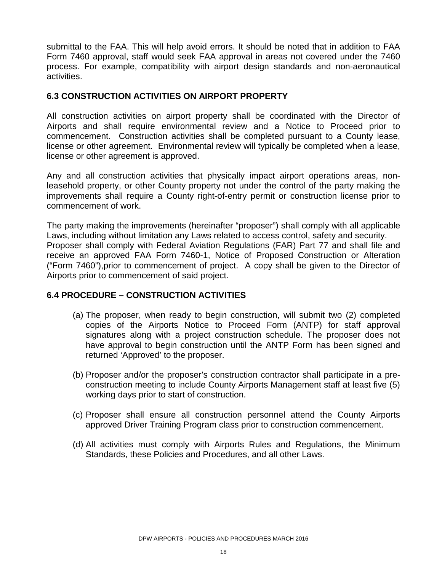submittal to the FAA. This will help avoid errors. It should be noted that in addition to FAA Form 7460 approval, staff would seek FAA approval in areas not covered under the 7460 process. For example, compatibility with airport design standards and non-aeronautical activities.

#### **6.3 CONSTRUCTION ACTIVITIES ON AIRPORT PROPERTY**

All construction activities on airport property shall be coordinated with the Director of Airports and shall require environmental review and a Notice to Proceed prior to commencement. Construction activities shall be completed pursuant to a County lease, license or other agreement. Environmental review will typically be completed when a lease, license or other agreement is approved.

Any and all construction activities that physically impact airport operations areas, nonleasehold property, or other County property not under the control of the party making the improvements shall require a County right-of-entry permit or construction license prior to commencement of work.

The party making the improvements (hereinafter "proposer") shall comply with all applicable Laws, including without limitation any Laws related to access control, safety and security. Proposer shall comply with Federal Aviation Regulations (FAR) Part 77 and shall file and receive an approved FAA Form 7460-1, Notice of Proposed Construction or Alteration ("Form 7460"),prior to commencement of project. A copy shall be given to the Director of Airports prior to commencement of said project.

#### **6.4 PROCEDURE – CONSTRUCTION ACTIVITIES**

- (a) The proposer, when ready to begin construction, will submit two (2) completed copies of the Airports Notice to Proceed Form (ANTP) for staff approval signatures along with a project construction schedule. The proposer does not have approval to begin construction until the ANTP Form has been signed and returned 'Approved' to the proposer.
- (b) Proposer and/or the proposer's construction contractor shall participate in a preconstruction meeting to include County Airports Management staff at least five (5) working days prior to start of construction.
- (c) Proposer shall ensure all construction personnel attend the County Airports approved Driver Training Program class prior to construction commencement.
- (d) All activities must comply with Airports Rules and Regulations, the Minimum Standards, these Policies and Procedures, and all other Laws.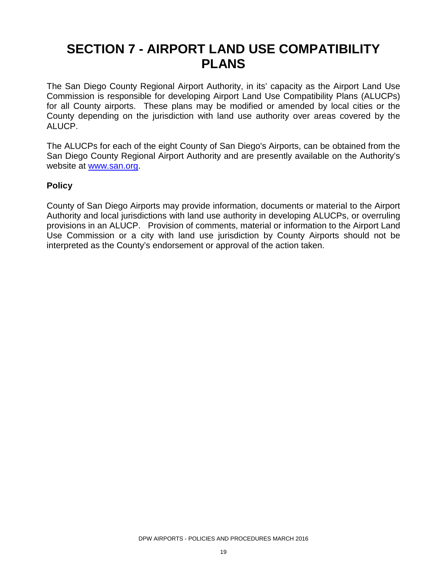### **SECTION 7 - AIRPORT LAND USE COMPATIBILITY PLANS**

The San Diego County Regional Airport Authority, in its' capacity as the Airport Land Use Commission is responsible for developing Airport Land Use Compatibility Plans (ALUCPs) for all County airports. These plans may be modified or amended by local cities or the County depending on the jurisdiction with land use authority over areas covered by the ALUCP.

The ALUCPs for each of the eight County of San Diego's Airports, can be obtained from the San Diego County Regional Airport Authority and are presently available on the Authority's website at [www.san.org.](http://www.san.org/)

#### **Policy**

County of San Diego Airports may provide information, documents or material to the Airport Authority and local jurisdictions with land use authority in developing ALUCPs, or overruling provisions in an ALUCP. Provision of comments, material or information to the Airport Land Use Commission or a city with land use jurisdiction by County Airports should not be interpreted as the County's endorsement or approval of the action taken.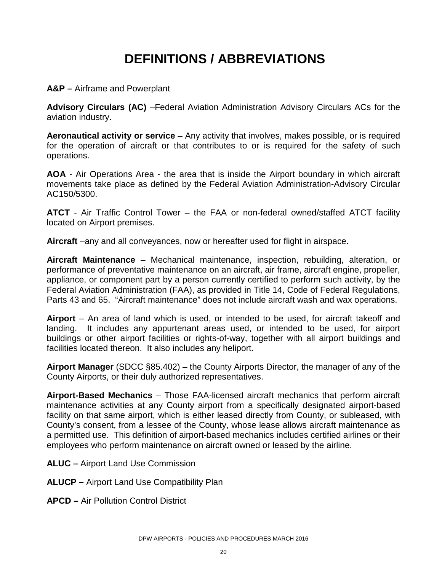### **DEFINITIONS / ABBREVIATIONS**

**A&P –** Airframe and Powerplant

**Advisory Circulars (AC)** –Federal Aviation Administration Advisory Circulars ACs for the aviation industry.

**Aeronautical activity or service** – Any activity that involves, makes possible, or is required for the operation of aircraft or that contributes to or is required for the safety of such operations.

**AOA** - Air Operations Area - the area that is inside the Airport boundary in which aircraft movements take place as defined by the Federal Aviation Administration-Advisory Circular AC150/5300.

**ATCT** - Air Traffic Control Tower – the FAA or non-federal owned/staffed ATCT facility located on Airport premises.

**Aircraft** –any and all conveyances, now or hereafter used for flight in airspace.

**Aircraft Maintenance** – Mechanical maintenance, inspection, rebuilding, alteration, or performance of preventative maintenance on an aircraft, air frame, aircraft engine, propeller, appliance, or component part by a person currently certified to perform such activity, by the Federal Aviation Administration (FAA), as provided in Title 14, Code of Federal Regulations, Parts 43 and 65. "Aircraft maintenance" does not include aircraft wash and wax operations.

**Airport** – An area of land which is used, or intended to be used, for aircraft takeoff and landing. It includes any appurtenant areas used, or intended to be used, for airport buildings or other airport facilities or rights-of-way, together with all airport buildings and facilities located thereon. It also includes any heliport.

**Airport Manager** (SDCC §85.402) – the County Airports Director, the manager of any of the County Airports, or their duly authorized representatives.

**Airport-Based Mechanics** – Those FAA-licensed aircraft mechanics that perform aircraft maintenance activities at any County airport from a specifically designated airport-based facility on that same airport, which is either leased directly from County, or subleased, with County's consent, from a lessee of the County, whose lease allows aircraft maintenance as a permitted use. This definition of airport-based mechanics includes certified airlines or their employees who perform maintenance on aircraft owned or leased by the airline.

- **ALUC –** Airport Land Use Commission
- **ALUCP –** Airport Land Use Compatibility Plan
- **APCD –** Air Pollution Control District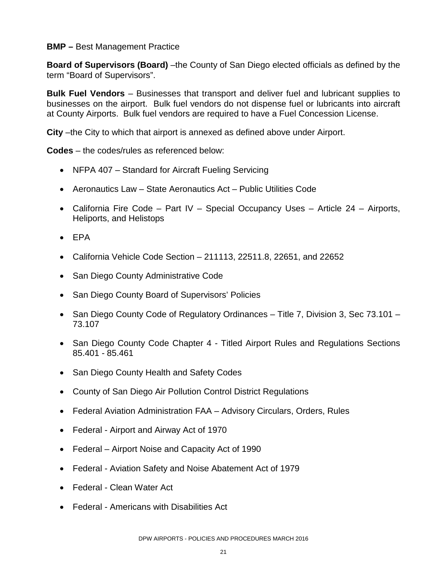#### **BMP –** Best Management Practice

**Board of Supervisors (Board)** –the County of San Diego elected officials as defined by the term "Board of Supervisors".

**Bulk Fuel Vendors** – Businesses that transport and deliver fuel and lubricant supplies to businesses on the airport. Bulk fuel vendors do not dispense fuel or lubricants into aircraft at County Airports. Bulk fuel vendors are required to have a Fuel Concession License.

**City** –the City to which that airport is annexed as defined above under Airport.

**Codes** – the codes/rules as referenced below:

- NFPA 407 Standard for Aircraft Fueling Servicing
- Aeronautics Law State Aeronautics Act Public Utilities Code
- California Fire Code Part IV Special Occupancy Uses Article 24 Airports, Heliports, and Helistops
- EPA
- California Vehicle Code Section  $-211113$ , 22511.8, 22651, and 22652
- San Diego County Administrative Code
- San Diego County Board of Supervisors' Policies
- San Diego County Code of Regulatory Ordinances Title 7, Division 3, Sec 73.101 73.107
- San Diego County Code Chapter 4 Titled Airport Rules and Regulations Sections 85.401 - 85.461
- San Diego County Health and Safety Codes
- County of San Diego Air Pollution Control District Regulations
- Federal Aviation Administration FAA Advisory Circulars, Orders, Rules
- Federal Airport and Airway Act of 1970
- Federal Airport Noise and Capacity Act of 1990
- Federal Aviation Safety and Noise Abatement Act of 1979
- Federal Clean Water Act
- Federal Americans with Disabilities Act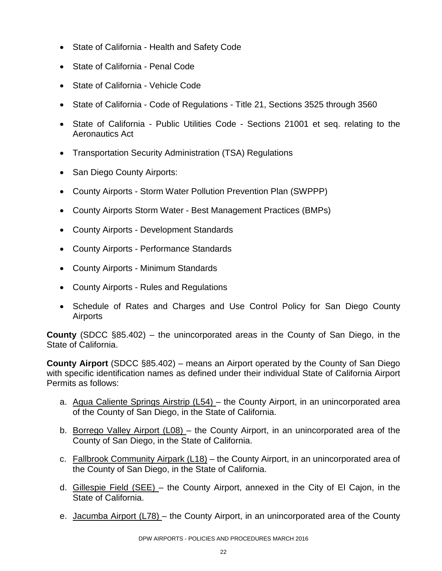- State of California Health and Safety Code
- State of California Penal Code
- State of California Vehicle Code
- State of California Code of Regulations Title 21, Sections 3525 through 3560
- State of California Public Utilities Code Sections 21001 et seq. relating to the Aeronautics Act
- Transportation Security Administration (TSA) Regulations
- San Diego County Airports:
- County Airports Storm Water Pollution Prevention Plan (SWPPP)
- County Airports Storm Water Best Management Practices (BMPs)
- County Airports Development Standards
- County Airports Performance Standards
- County Airports Minimum Standards
- County Airports Rules and Regulations
- Schedule of Rates and Charges and Use Control Policy for San Diego County Airports

**County** (SDCC §85.402) – the unincorporated areas in the County of San Diego, in the State of California.

**County Airport** (SDCC §85.402) – means an Airport operated by the County of San Diego with specific identification names as defined under their individual State of California Airport Permits as follows:

- a. Agua Caliente Springs Airstrip (L54) the County Airport, in an unincorporated area of the County of San Diego, in the State of California.
- b. Borrego Valley Airport (L08) the County Airport, in an unincorporated area of the County of San Diego, in the State of California.
- c. Fallbrook Community Airpark (L18) the County Airport, in an unincorporated area of the County of San Diego, in the State of California.
- d. Gillespie Field (SEE) the County Airport, annexed in the City of El Cajon, in the State of California.
- e. Jacumba Airport (L78) the County Airport, in an unincorporated area of the County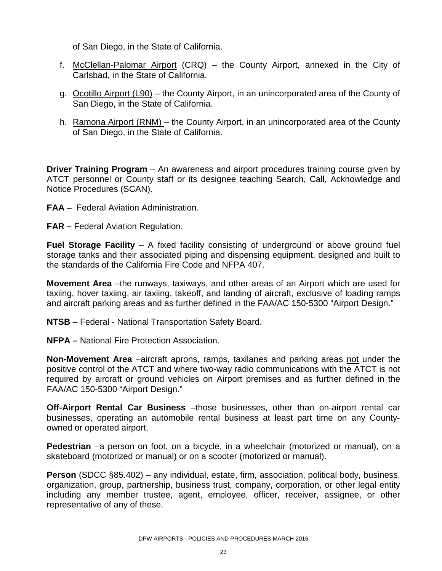of San Diego, in the State of California.

- f. McClellan-Palomar Airport (CRQ) the County Airport, annexed in the City of Carlsbad, in the State of California.
- g. Ocotillo Airport (L90) the County Airport, in an unincorporated area of the County of San Diego, in the State of California.
- h. Ramona Airport (RNM) the County Airport, in an unincorporated area of the County of San Diego, in the State of California.

**Driver Training Program** – An awareness and airport procedures training course given by ATCT personnel or County staff or its designee teaching Search, Call, Acknowledge and Notice Procedures (SCAN).

- **FAA** Federal Aviation Administration.
- **FAR –** Federal Aviation Regulation.

**Fuel Storage Facility** – A fixed facility consisting of underground or above ground fuel storage tanks and their associated piping and dispensing equipment, designed and built to the standards of the California Fire Code and NFPA 407.

**Movement Area** –the runways, taxiways, and other areas of an Airport which are used for taxiing, hover taxiing, air taxiing, takeoff, and landing of aircraft, exclusive of loading ramps and aircraft parking areas and as further defined in the FAA/AC 150-5300 "Airport Design."

**NTSB** – Federal - National Transportation Safety Board.

**NFPA –** National Fire Protection Association.

**Non-Movement Area** –aircraft aprons, ramps, taxilanes and parking areas not under the positive control of the ATCT and where two-way radio communications with the ATCT is not required by aircraft or ground vehicles on Airport premises and as further defined in the FAA/AC 150-5300 "Airport Design."

**Off-Airport Rental Car Business** –those businesses, other than on-airport rental car businesses, operating an automobile rental business at least part time on any Countyowned or operated airport.

**Pedestrian** –a person on foot, on a bicycle, in a wheelchair (motorized or manual), on a skateboard (motorized or manual) or on a scooter (motorized or manual).

**Person** (SDCC §85.402) – any individual, estate, firm, association, political body, business, organization, group, partnership, business trust, company, corporation, or other legal entity including any member trustee, agent, employee, officer, receiver, assignee, or other representative of any of these.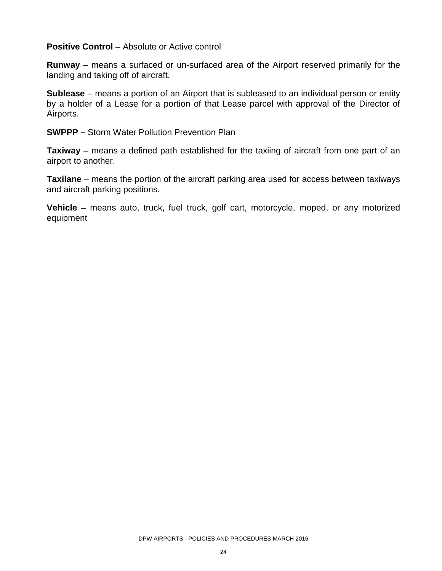**Positive Control** – Absolute or Active control

**Runway** – means a surfaced or un-surfaced area of the Airport reserved primarily for the landing and taking off of aircraft.

**Sublease** – means a portion of an Airport that is subleased to an individual person or entity by a holder of a Lease for a portion of that Lease parcel with approval of the Director of Airports.

**SWPPP –** Storm Water Pollution Prevention Plan

**Taxiway** – means a defined path established for the taxiing of aircraft from one part of an airport to another.

**Taxilane** – means the portion of the aircraft parking area used for access between taxiways and aircraft parking positions.

**Vehicle** – means auto, truck, fuel truck, golf cart, motorcycle, moped, or any motorized equipment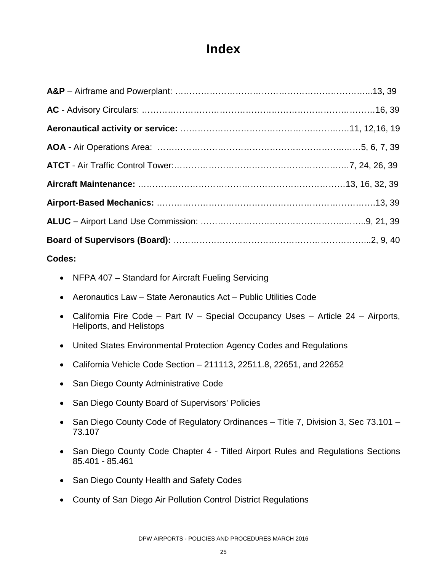### **Index**

#### **Codes:**

- NFPA 407 Standard for Aircraft Fueling Servicing
- Aeronautics Law State Aeronautics Act Public Utilities Code
- California Fire Code Part IV Special Occupancy Uses Article 24 Airports, Heliports, and Helistops
- United States Environmental Protection Agency Codes and Regulations
- California Vehicle Code Section 211113, 22511.8, 22651, and 22652
- San Diego County Administrative Code
- San Diego County Board of Supervisors' Policies
- San Diego County Code of Regulatory Ordinances Title 7, Division 3, Sec 73.101 73.107
- San Diego County Code Chapter 4 Titled Airport Rules and Regulations Sections 85.401 - 85.461
- San Diego County Health and Safety Codes
- County of San Diego Air Pollution Control District Regulations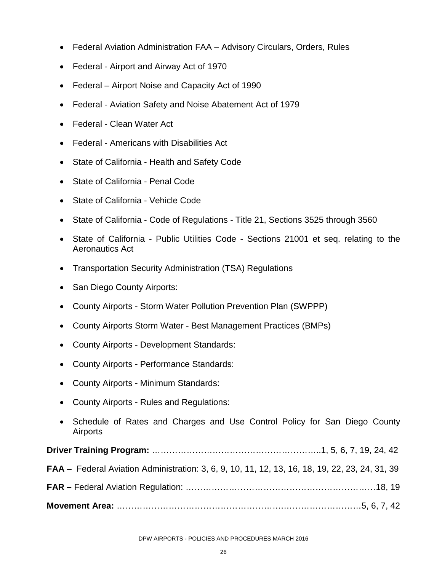- Federal Aviation Administration FAA Advisory Circulars, Orders, Rules
- Federal Airport and Airway Act of 1970
- Federal Airport Noise and Capacity Act of 1990
- Federal Aviation Safety and Noise Abatement Act of 1979
- Federal Clean Water Act
- Federal Americans with Disabilities Act
- State of California Health and Safety Code
- State of California Penal Code
- State of California Vehicle Code
- State of California Code of Regulations Title 21, Sections 3525 through 3560
- State of California Public Utilities Code Sections 21001 et seq. relating to the Aeronautics Act
- Transportation Security Administration (TSA) Regulations
- San Diego County Airports:
- County Airports Storm Water Pollution Prevention Plan (SWPPP)
- County Airports Storm Water Best Management Practices (BMPs)
- County Airports Development Standards:
- County Airports Performance Standards:
- County Airports Minimum Standards:
- County Airports Rules and Regulations:
- Schedule of Rates and Charges and Use Control Policy for San Diego County Airports

| <b>FAA</b> – Federal Aviation Administration: 3, 6, 9, 10, 11, 12, 13, 16, 18, 19, 22, 23, 24, 31, 39 |  |
|-------------------------------------------------------------------------------------------------------|--|
|                                                                                                       |  |
|                                                                                                       |  |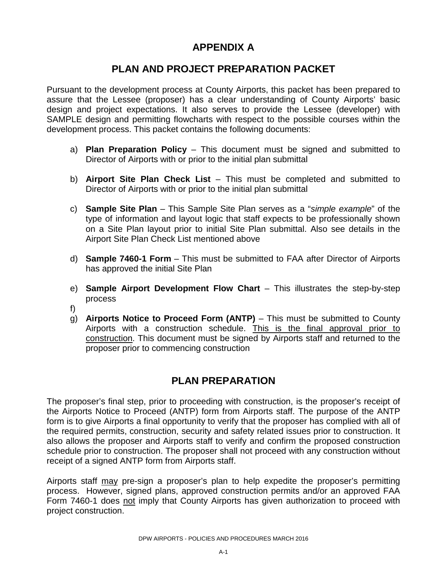#### **APPENDIX A**

#### **PLAN AND PROJECT PREPARATION PACKET**

Pursuant to the development process at County Airports, this packet has been prepared to assure that the Lessee (proposer) has a clear understanding of County Airports' basic design and project expectations. It also serves to provide the Lessee (developer) with SAMPLE design and permitting flowcharts with respect to the possible courses within the development process. This packet contains the following documents:

- a) **Plan Preparation Policy** This document must be signed and submitted to Director of Airports with or prior to the initial plan submittal
- b) **Airport Site Plan Check List** This must be completed and submitted to Director of Airports with or prior to the initial plan submittal
- c) **Sample Site Plan** This Sample Site Plan serves as a "*simple example*" of the type of information and layout logic that staff expects to be professionally shown on a Site Plan layout prior to initial Site Plan submittal. Also see details in the Airport Site Plan Check List mentioned above
- d) **Sample 7460-1 Form** This must be submitted to FAA after Director of Airports has approved the initial Site Plan
- e) **Sample Airport Development Flow Chart** This illustrates the step-by-step process
- f)
- g) **Airports Notice to Proceed Form (ANTP)**  This must be submitted to County Airports with a construction schedule. This is the final approval prior to construction. This document must be signed by Airports staff and returned to the proposer prior to commencing construction

#### **PLAN PREPARATION**

The proposer's final step, prior to proceeding with construction, is the proposer's receipt of the Airports Notice to Proceed (ANTP) form from Airports staff. The purpose of the ANTP form is to give Airports a final opportunity to verify that the proposer has complied with all of the required permits, construction, security and safety related issues prior to construction. It also allows the proposer and Airports staff to verify and confirm the proposed construction schedule prior to construction. The proposer shall not proceed with any construction without receipt of a signed ANTP form from Airports staff.

Airports staff may pre-sign a proposer's plan to help expedite the proposer's permitting process. However, signed plans, approved construction permits and/or an approved FAA Form 7460-1 does not imply that County Airports has given authorization to proceed with project construction.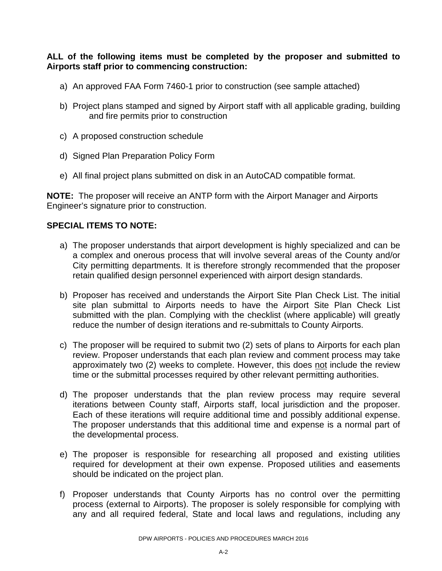**ALL of the following items must be completed by the proposer and submitted to Airports staff prior to commencing construction:** 

- a) An approved FAA Form 7460-1 prior to construction (see sample attached)
- b) Project plans stamped and signed by Airport staff with all applicable grading, building and fire permits prior to construction
- c) A proposed construction schedule
- d) Signed Plan Preparation Policy Form
- e) All final project plans submitted on disk in an AutoCAD compatible format.

**NOTE:** The proposer will receive an ANTP form with the Airport Manager and Airports Engineer's signature prior to construction.

#### **SPECIAL ITEMS TO NOTE:**

- a) The proposer understands that airport development is highly specialized and can be a complex and onerous process that will involve several areas of the County and/or City permitting departments. It is therefore strongly recommended that the proposer retain qualified design personnel experienced with airport design standards.
- b) Proposer has received and understands the Airport Site Plan Check List. The initial site plan submittal to Airports needs to have the Airport Site Plan Check List submitted with the plan. Complying with the checklist (where applicable) will greatly reduce the number of design iterations and re-submittals to County Airports.
- c) The proposer will be required to submit two (2) sets of plans to Airports for each plan review. Proposer understands that each plan review and comment process may take approximately two (2) weeks to complete. However, this does not include the review time or the submittal processes required by other relevant permitting authorities.
- d) The proposer understands that the plan review process may require several iterations between County staff, Airports staff, local jurisdiction and the proposer. Each of these iterations will require additional time and possibly additional expense. The proposer understands that this additional time and expense is a normal part of the developmental process.
- e) The proposer is responsible for researching all proposed and existing utilities required for development at their own expense. Proposed utilities and easements should be indicated on the project plan.
- f) Proposer understands that County Airports has no control over the permitting process (external to Airports). The proposer is solely responsible for complying with any and all required federal, State and local laws and regulations, including any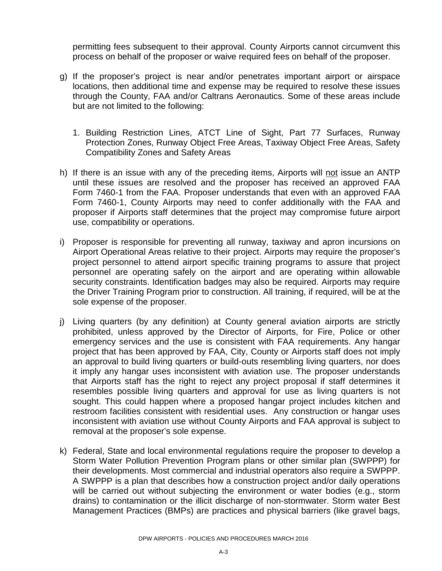permitting fees subsequent to their approval. County Airports cannot circumvent this process on behalf of the proposer or waive required fees on behalf of the proposer.

- g) If the proposer's project is near and/or penetrates important airport or airspace locations, then additional time and expense may be required to resolve these issues through the County, FAA and/or Caltrans Aeronautics. Some of these areas include but are not limited to the following:
	- 1. Building Restriction Lines, ATCT Line of Sight, Part 77 Surfaces, Runway Protection Zones, Runway Object Free Areas, Taxiway Object Free Areas, Safety Compatibility Zones and Safety Areas
- h) If there is an issue with any of the preceding items, Airports will not issue an ANTP until these issues are resolved and the proposer has received an approved FAA Form 7460-1 from the FAA. Proposer understands that even with an approved FAA Form 7460-1, County Airports may need to confer additionally with the FAA and proposer if Airports staff determines that the project may compromise future airport use, compatibility or operations.
- i) Proposer is responsible for preventing all runway, taxiway and apron incursions on Airport Operational Areas relative to their project. Airports may require the proposer's project personnel to attend airport specific training programs to assure that project personnel are operating safely on the airport and are operating within allowable security constraints. Identification badges may also be required. Airports may require the Driver Training Program prior to construction. All training, if required, will be at the sole expense of the proposer.
- j) Living quarters (by any definition) at County general aviation airports are strictly prohibited, unless approved by the Director of Airports, for Fire, Police or other emergency services and the use is consistent with FAA requirements. Any hangar project that has been approved by FAA, City, County or Airports staff does not imply an approval to build living quarters or build-outs resembling living quarters, nor does it imply any hangar uses inconsistent with aviation use. The proposer understands that Airports staff has the right to reject any project proposal if staff determines it resembles possible living quarters and approval for use as living quarters is not sought. This could happen where a proposed hangar project includes kitchen and restroom facilities consistent with residential uses. Any construction or hangar uses inconsistent with aviation use without County Airports and FAA approval is subject to removal at the proposer's sole expense.
- k) Federal, State and local environmental regulations require the proposer to develop a Storm Water Pollution Prevention Program plans or other similar plan (SWPPP) for their developments. Most commercial and industrial operators also require a SWPPP. A SWPPP is a plan that describes how a construction project and/or daily operations will be carried out without subjecting the environment or water bodies (e.g., storm drains) to contamination or the illicit discharge of non-stormwater. Storm water Best Management Practices (BMPs) are practices and physical barriers (like gravel bags,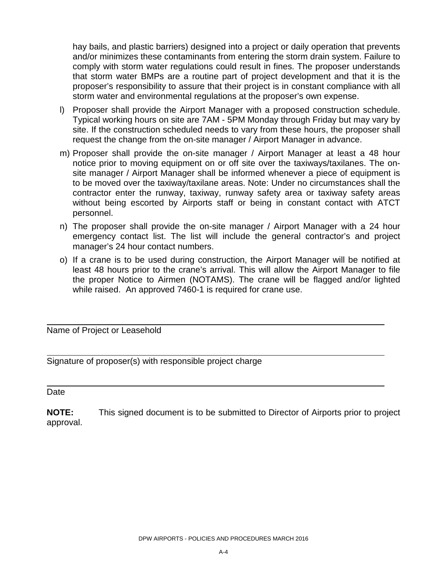hay bails, and plastic barriers) designed into a project or daily operation that prevents and/or minimizes these contaminants from entering the storm drain system. Failure to comply with storm water regulations could result in fines. The proposer understands that storm water BMPs are a routine part of project development and that it is the proposer's responsibility to assure that their project is in constant compliance with all storm water and environmental regulations at the proposer's own expense.

- l) Proposer shall provide the Airport Manager with a proposed construction schedule. Typical working hours on site are 7AM - 5PM Monday through Friday but may vary by site. If the construction scheduled needs to vary from these hours, the proposer shall request the change from the on-site manager / Airport Manager in advance.
- m) Proposer shall provide the on-site manager / Airport Manager at least a 48 hour notice prior to moving equipment on or off site over the taxiways/taxilanes. The onsite manager / Airport Manager shall be informed whenever a piece of equipment is to be moved over the taxiway/taxilane areas. Note: Under no circumstances shall the contractor enter the runway, taxiway, runway safety area or taxiway safety areas without being escorted by Airports staff or being in constant contact with ATCT personnel.
- n) The proposer shall provide the on-site manager / Airport Manager with a 24 hour emergency contact list. The list will include the general contractor's and project manager's 24 hour contact numbers.
- o) If a crane is to be used during construction, the Airport Manager will be notified at least 48 hours prior to the crane's arrival. This will allow the Airport Manager to file the proper Notice to Airmen (NOTAMS). The crane will be flagged and/or lighted while raised. An approved 7460-1 is required for crane use.

Name of Project or Leasehold

Signature of proposer(s) with responsible project charge

#### **Date**

**NOTE:** This signed document is to be submitted to Director of Airports prior to project approval.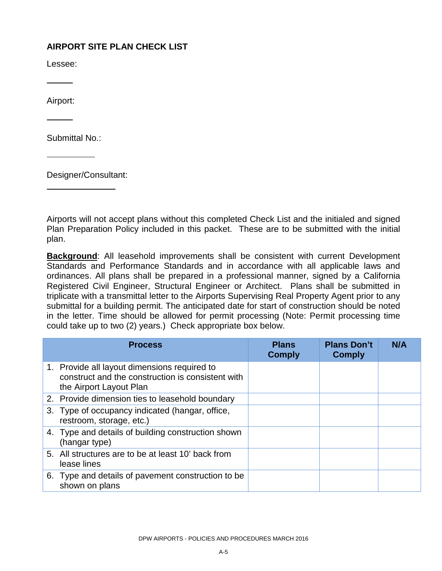#### **AIRPORT SITE PLAN CHECK LIST**

Lessee:

Airport:

Submittal No.:

Designer/Consultant:

Airports will not accept plans without this completed Check List and the initialed and signed Plan Preparation Policy included in this packet. These are to be submitted with the initial plan.

**Background**: All leasehold improvements shall be consistent with current Development Standards and Performance Standards and in accordance with all applicable laws and ordinances. All plans shall be prepared in a professional manner, signed by a California Registered Civil Engineer, Structural Engineer or Architect. Plans shall be submitted in triplicate with a transmittal letter to the Airports Supervising Real Property Agent prior to any submittal for a building permit. The anticipated date for start of construction should be noted in the letter. Time should be allowed for permit processing (Note: Permit processing time could take up to two (2) years.) Check appropriate box below.

| <b>Process</b>                                                                                                               | <b>Plans</b><br><b>Comply</b> | <b>Plans Don't</b><br><b>Comply</b> | N/A |
|------------------------------------------------------------------------------------------------------------------------------|-------------------------------|-------------------------------------|-----|
| 1. Provide all layout dimensions required to<br>construct and the construction is consistent with<br>the Airport Layout Plan |                               |                                     |     |
| 2. Provide dimension ties to leasehold boundary                                                                              |                               |                                     |     |
| 3. Type of occupancy indicated (hangar, office,<br>restroom, storage, etc.)                                                  |                               |                                     |     |
| 4. Type and details of building construction shown<br>(hangar type)                                                          |                               |                                     |     |
| 5. All structures are to be at least 10' back from<br>lease lines                                                            |                               |                                     |     |
| 6. Type and details of pavement construction to be<br>shown on plans                                                         |                               |                                     |     |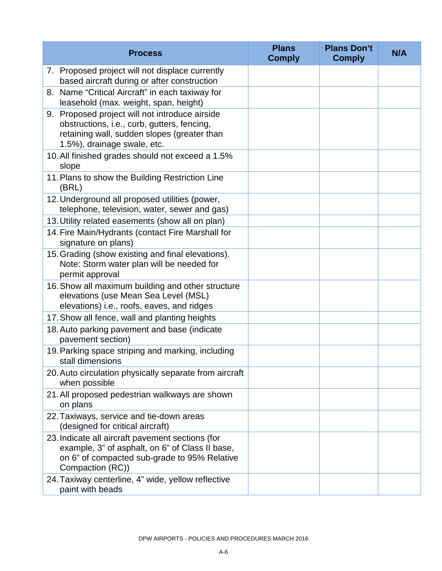| <b>Process</b>                                                                                                                                                              | <b>Plans</b><br><b>Comply</b> | <b>Plans Don't</b><br><b>Comply</b> | N/A |
|-----------------------------------------------------------------------------------------------------------------------------------------------------------------------------|-------------------------------|-------------------------------------|-----|
| 7. Proposed project will not displace currently<br>based aircraft during or after construction                                                                              |                               |                                     |     |
| 8. Name "Critical Aircraft" in each taxiway for<br>leasehold (max. weight, span, height)                                                                                    |                               |                                     |     |
| 9. Proposed project will not introduce airside<br>obstructions, i.e., curb, gutters, fencing,<br>retaining wall, sudden slopes (greater than<br>1.5%), drainage swale, etc. |                               |                                     |     |
| 10. All finished grades should not exceed a 1.5%<br>slope                                                                                                                   |                               |                                     |     |
| 11. Plans to show the Building Restriction Line<br>(BRL)                                                                                                                    |                               |                                     |     |
| 12. Underground all proposed utilities (power,<br>telephone, television, water, sewer and gas)                                                                              |                               |                                     |     |
| 13. Utility related easements (show all on plan)                                                                                                                            |                               |                                     |     |
| 14. Fire Main/Hydrants (contact Fire Marshall for<br>signature on plans)                                                                                                    |                               |                                     |     |
| 15. Grading (show existing and final elevations).<br>Note: Storm water plan will be needed for<br>permit approval                                                           |                               |                                     |     |
| 16. Show all maximum building and other structure<br>elevations (use Mean Sea Level (MSL)<br>elevations) i.e., roofs, eaves, and ridges                                     |                               |                                     |     |
| 17. Show all fence, wall and planting heights                                                                                                                               |                               |                                     |     |
| 18. Auto parking pavement and base (indicate<br>pavement section)                                                                                                           |                               |                                     |     |
| 19. Parking space striping and marking, including<br>stall dimensions                                                                                                       |                               |                                     |     |
| 20. Auto circulation physically separate from aircraft<br>when possible                                                                                                     |                               |                                     |     |
| 21. All proposed pedestrian walkways are shown<br>on plans                                                                                                                  |                               |                                     |     |
| 22. Taxiways, service and tie-down areas<br>(designed for critical aircraft)                                                                                                |                               |                                     |     |
| 23. Indicate all aircraft pavement sections (for<br>example, 3" of asphalt, on 6" of Class II base,<br>on 6" of compacted sub-grade to 95% Relative<br>Compaction (RC))     |                               |                                     |     |
| 24. Taxiway centerline, 4" wide, yellow reflective<br>paint with beads                                                                                                      |                               |                                     |     |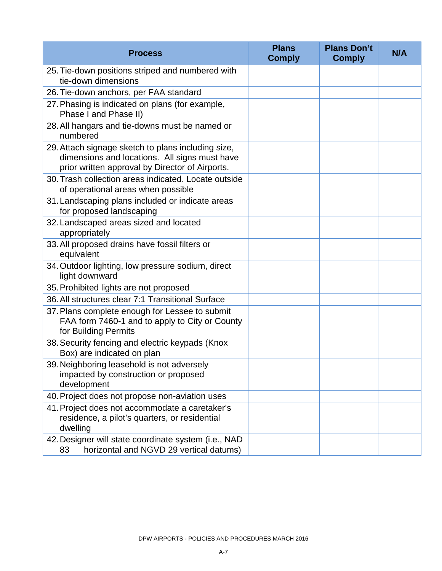| <b>Process</b>                                                                                                                                         | <b>Plans</b><br><b>Comply</b> | <b>Plans Don't</b><br><b>Comply</b> | N/A |
|--------------------------------------------------------------------------------------------------------------------------------------------------------|-------------------------------|-------------------------------------|-----|
| 25. Tie-down positions striped and numbered with<br>tie-down dimensions                                                                                |                               |                                     |     |
| 26. Tie-down anchors, per FAA standard                                                                                                                 |                               |                                     |     |
| 27. Phasing is indicated on plans (for example,<br>Phase I and Phase II)                                                                               |                               |                                     |     |
| 28. All hangars and tie-downs must be named or<br>numbered                                                                                             |                               |                                     |     |
| 29. Attach signage sketch to plans including size,<br>dimensions and locations. All signs must have<br>prior written approval by Director of Airports. |                               |                                     |     |
| 30. Trash collection areas indicated. Locate outside<br>of operational areas when possible                                                             |                               |                                     |     |
| 31. Landscaping plans included or indicate areas<br>for proposed landscaping                                                                           |                               |                                     |     |
| 32. Landscaped areas sized and located<br>appropriately                                                                                                |                               |                                     |     |
| 33. All proposed drains have fossil filters or<br>equivalent                                                                                           |                               |                                     |     |
| 34. Outdoor lighting, low pressure sodium, direct<br>light downward                                                                                    |                               |                                     |     |
| 35. Prohibited lights are not proposed                                                                                                                 |                               |                                     |     |
| 36. All structures clear 7:1 Transitional Surface                                                                                                      |                               |                                     |     |
| 37. Plans complete enough for Lessee to submit<br>FAA form 7460-1 and to apply to City or County<br>for Building Permits                               |                               |                                     |     |
| 38. Security fencing and electric keypads (Knox<br>Box) are indicated on plan                                                                          |                               |                                     |     |
| 39. Neighboring leasehold is not adversely<br>impacted by construction or proposed<br>development                                                      |                               |                                     |     |
| 40. Project does not propose non-aviation uses                                                                                                         |                               |                                     |     |
| 41. Project does not accommodate a caretaker's<br>residence, a pilot's quarters, or residential<br>dwelling                                            |                               |                                     |     |
| 42. Designer will state coordinate system (i.e., NAD<br>horizontal and NGVD 29 vertical datums)<br>83                                                  |                               |                                     |     |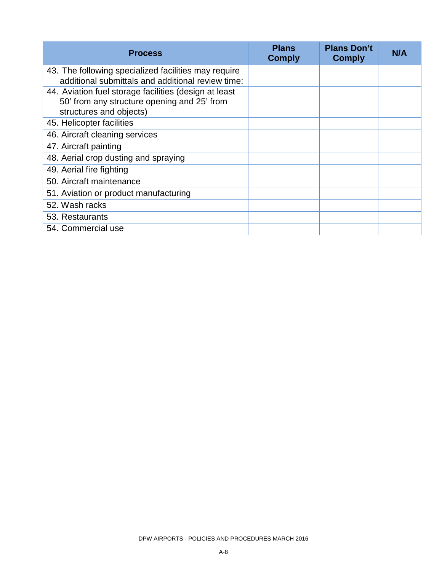| <b>Process</b>                                                                                                                  | <b>Plans</b><br><b>Comply</b> | <b>Plans Don't</b><br><b>Comply</b> | N/A |
|---------------------------------------------------------------------------------------------------------------------------------|-------------------------------|-------------------------------------|-----|
| 43. The following specialized facilities may require<br>additional submittals and additional review time:                       |                               |                                     |     |
| 44. Aviation fuel storage facilities (design at least<br>50' from any structure opening and 25' from<br>structures and objects) |                               |                                     |     |
| 45. Helicopter facilities                                                                                                       |                               |                                     |     |
| 46. Aircraft cleaning services                                                                                                  |                               |                                     |     |
| 47. Aircraft painting                                                                                                           |                               |                                     |     |
| 48. Aerial crop dusting and spraying                                                                                            |                               |                                     |     |
| 49. Aerial fire fighting                                                                                                        |                               |                                     |     |
| 50. Aircraft maintenance                                                                                                        |                               |                                     |     |
| 51. Aviation or product manufacturing                                                                                           |                               |                                     |     |
| 52. Wash racks                                                                                                                  |                               |                                     |     |
| 53. Restaurants                                                                                                                 |                               |                                     |     |
| 54. Commercial use                                                                                                              |                               |                                     |     |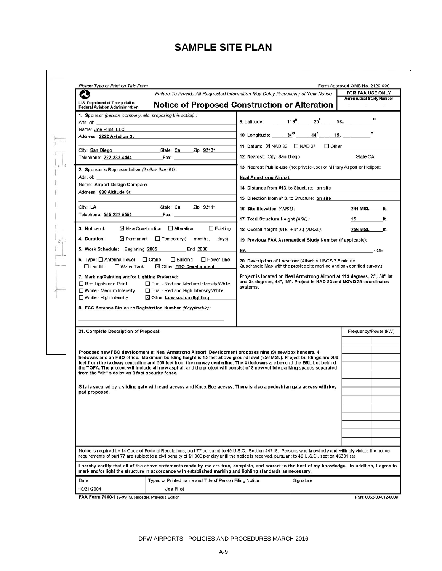#### **SAMPLE SITE PLAN**

r

|                                                                                                                                                                                                                                                                                                                                                                                                                                                                                                                            |                                                                                                                                                                                                                                                                                                                                                                                        | Failure To Provide All Requested Information May Delay Processing of Your Notice                                                                                                                                                                                                                                                                                                                                                                                                                                                                                                                                                                                                                                                                                                                                                                                                                                                                                                                                                                                                                                                                                                                         | FOR FAA USE ONLY                                               |
|----------------------------------------------------------------------------------------------------------------------------------------------------------------------------------------------------------------------------------------------------------------------------------------------------------------------------------------------------------------------------------------------------------------------------------------------------------------------------------------------------------------------------|----------------------------------------------------------------------------------------------------------------------------------------------------------------------------------------------------------------------------------------------------------------------------------------------------------------------------------------------------------------------------------------|----------------------------------------------------------------------------------------------------------------------------------------------------------------------------------------------------------------------------------------------------------------------------------------------------------------------------------------------------------------------------------------------------------------------------------------------------------------------------------------------------------------------------------------------------------------------------------------------------------------------------------------------------------------------------------------------------------------------------------------------------------------------------------------------------------------------------------------------------------------------------------------------------------------------------------------------------------------------------------------------------------------------------------------------------------------------------------------------------------------------------------------------------------------------------------------------------------|----------------------------------------------------------------|
| U.S. Department of Transportation                                                                                                                                                                                                                                                                                                                                                                                                                                                                                          |                                                                                                                                                                                                                                                                                                                                                                                        | Notice of Proposed Construction or Alteration                                                                                                                                                                                                                                                                                                                                                                                                                                                                                                                                                                                                                                                                                                                                                                                                                                                                                                                                                                                                                                                                                                                                                            | <b>Aeronautical Study Number</b><br>$\sim$ 100 $\pm$ 100 $\pm$ |
| <b>Federal Aviation Administration</b><br>1. Sponsor (person, company, etc. proposing this action):<br>Name: Joe Pilot, LLC<br>Address: 2222 Aviation St<br>Telephone: 222-333-4444 Fax: Fax:<br>2. Sponsor's Representative (if other than #1):<br>Address: 888 Altitude St Address: 888 Altitude St<br>3. Notice of:<br>4. Duration:<br>5. Work Schedule: Beginning 2005 ________ End 2006<br>6. Type: □ Antenna Tower □ Crane<br>$\Box$ Landfill<br>$\Box$ Water Tank<br>7. Marking/Painting and/or Lighting Preferred: | the control of the control of the control of the control of<br>City: San Diego State: Ca Zip: 92131<br>Name: Airport Design Company<br>City: LA State: Ca Zip: 92111<br>Telephone: 555-222-5555 Fax: Fax:<br>$\boxtimes$ New Construction $\Box$ Alteration<br>Existing<br>$\boxtimes$ Permanent $\Box$ Temporary (months, days)<br>□ Building □ Power Line<br>⊠ Other FBO Development | 9. Latitude: $\underline{\qquad 119^{\circ}} \qquad 25 \qquad 58.$<br>10. Longitude: ______ 34° _____ 44' _____ 15. ___________"<br>11. Datum: $\boxtimes$ NAD 83 $\Box$ NAD 27 $\Box$ Other<br>12. Nearest: City: San Diego State:CA<br>13. Nearest Public-use (not private-use) or Military Airport or Heliport:<br>Neal Armstrong Airport and the control of the control of the control of the control of the control of the control of the control of the control of the control of the control of the control of the control of the control of<br>14. Distance from #13. to Structure: on site<br>15. Direction from #13. to Structure: on site<br>16. Site Elevation (AMSL):<br>17. Total Structure Height (AGL):<br>18. Overall height (#16. + #17.) (AMSL):<br>19. Previous FAA Aeronautical Study Number (if applicable):<br>NA POLICY CONTRACT CONTRACT CONTRACT OF CONTRACT CONTRACT CONTRACT CONTRACT CONTRACT CONTRACT CONTRACT CONTRACT CONTRACT CONTRACT CONTRACT CONTRACT CONTRACT CONTRACT CONTRACT CONTRACT CONTRACT CONTRACT CONTRACT CONTRACT CO<br>20. Description of Location: (Attach a USGS 7.5 minute<br>Quadrangle Map with the precise site marked and any certified survey.) | 241 MSL ft.<br>15 ft.<br>256 MSL ft.                           |
| Red Lights and Paint<br>$\Box$ White - High Intensity<br>8. FCC Antenna Structure Registration Number (if applicable):                                                                                                                                                                                                                                                                                                                                                                                                     | □ Dual - Red and Medium Intensity White<br>□ White - Medium Intensity □ Dual - Red and High Intensity White<br>$\boxtimes$ Other Low sodium lighting                                                                                                                                                                                                                                   | Project is located on Neal Armstrong Airport at 119 degrees, 25', 58" lat<br>and 34 degrees, 44", 15". Project is NAD 83 and NGVD 29 coordinates<br>systems.                                                                                                                                                                                                                                                                                                                                                                                                                                                                                                                                                                                                                                                                                                                                                                                                                                                                                                                                                                                                                                             |                                                                |
| 21. Complete Description of Proposal:                                                                                                                                                                                                                                                                                                                                                                                                                                                                                      | Proposed new FBO development at Neal Armstrong Airport. Development proposes nine (9) new box hangars, 4                                                                                                                                                                                                                                                                               |                                                                                                                                                                                                                                                                                                                                                                                                                                                                                                                                                                                                                                                                                                                                                                                                                                                                                                                                                                                                                                                                                                                                                                                                          |                                                                |
| from the "air" side by an 8 foot security fence.                                                                                                                                                                                                                                                                                                                                                                                                                                                                           |                                                                                                                                                                                                                                                                                                                                                                                        | tiedowns and an FBO office. Maximum building height is 15 feet above ground level (256 MSL). Project buildings are 200<br>feet from the taxiway centerline and 500 feet from the runway centerline. The 4 tiedowns are beyond the BRL but behind<br>the TOFA. The project will include all new asphalt and the project will consist of 8 new vehicle parking spaces separated<br>Site is secured by a sliding gate with card access and Knox Box access. There is also a pedestrian gate access with key                                                                                                                                                                                                                                                                                                                                                                                                                                                                                                                                                                                                                                                                                                 |                                                                |
| pad proposed.                                                                                                                                                                                                                                                                                                                                                                                                                                                                                                              |                                                                                                                                                                                                                                                                                                                                                                                        |                                                                                                                                                                                                                                                                                                                                                                                                                                                                                                                                                                                                                                                                                                                                                                                                                                                                                                                                                                                                                                                                                                                                                                                                          |                                                                |
|                                                                                                                                                                                                                                                                                                                                                                                                                                                                                                                            |                                                                                                                                                                                                                                                                                                                                                                                        |                                                                                                                                                                                                                                                                                                                                                                                                                                                                                                                                                                                                                                                                                                                                                                                                                                                                                                                                                                                                                                                                                                                                                                                                          |                                                                |
|                                                                                                                                                                                                                                                                                                                                                                                                                                                                                                                            |                                                                                                                                                                                                                                                                                                                                                                                        | Notice is required by 14 Code of Federal Requlations, part 77 pursuant to 49 U.S.C., Section 44718. Persons who knowingly and willingly violate the notice<br>requirements of part 77 are subject to a civil penalty of \$1,000 per day until the notice is received, pursuant to 49 U.S.C., section 46301 (a).                                                                                                                                                                                                                                                                                                                                                                                                                                                                                                                                                                                                                                                                                                                                                                                                                                                                                          |                                                                |
|                                                                                                                                                                                                                                                                                                                                                                                                                                                                                                                            | mark and/or light the structure in accordance with established marking and lighting standards as necessary.                                                                                                                                                                                                                                                                            | I hereby certify that all of the above statements made by me are true, complete, and correct to the best of my knowledge. In addition, I agree to                                                                                                                                                                                                                                                                                                                                                                                                                                                                                                                                                                                                                                                                                                                                                                                                                                                                                                                                                                                                                                                        | Frequency/Power (kW)                                           |
| Date                                                                                                                                                                                                                                                                                                                                                                                                                                                                                                                       | Typed or Printed name and Title of Person Filing Notice                                                                                                                                                                                                                                                                                                                                | Signature                                                                                                                                                                                                                                                                                                                                                                                                                                                                                                                                                                                                                                                                                                                                                                                                                                                                                                                                                                                                                                                                                                                                                                                                |                                                                |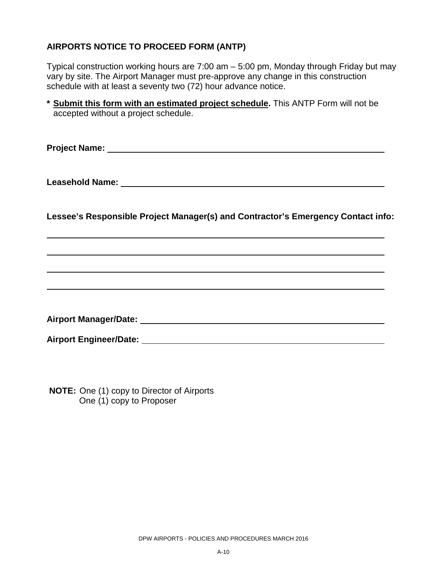#### **AIRPORTS NOTICE TO PROCEED FORM (ANTP)**

Typical construction working hours are 7:00 am – 5:00 pm, Monday through Friday but may vary by site. The Airport Manager must pre-approve any change in this construction schedule with at least a seventy two (72) hour advance notice.

| * Submit this form with an estimated project schedule. This ANTP Form will not be |  |
|-----------------------------------------------------------------------------------|--|
| accepted without a project schedule.                                              |  |

**Project Name:** 

**Leasehold Name:** 

**Lessee's Responsible Project Manager(s) and Contractor's Emergency Contact info:** 

**Airport Manager/Date:**

**Airport Engineer/Date:**

**NOTE:** One (1) copy to Director of Airports One (1) copy to Proposer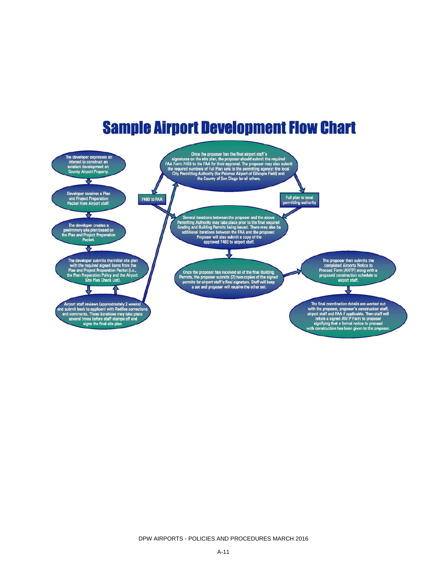## **Sample Airport Development Flow Chart**

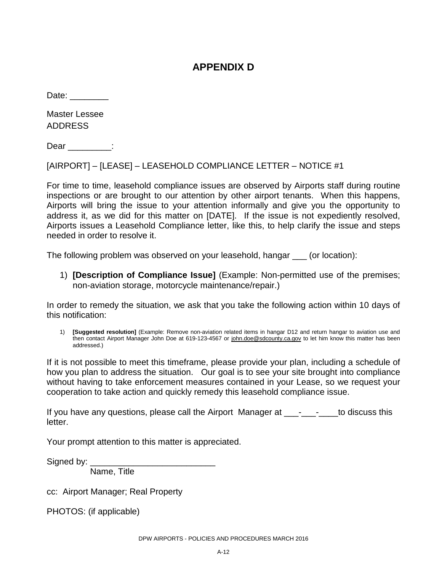#### **APPENDIX D**

Date:

Master Lessee ADDRESS

Dear :

[AIRPORT] – [LEASE] – LEASEHOLD COMPLIANCE LETTER – NOTICE #1

For time to time, leasehold compliance issues are observed by Airports staff during routine inspections or are brought to our attention by other airport tenants. When this happens, Airports will bring the issue to your attention informally and give you the opportunity to address it, as we did for this matter on [DATE]. If the issue is not expediently resolved, Airports issues a Leasehold Compliance letter, like this, to help clarify the issue and steps needed in order to resolve it.

The following problem was observed on your leasehold, hangar \_\_\_ (or location):

1) **[Description of Compliance Issue]** (Example: Non-permitted use of the premises; non-aviation storage, motorcycle maintenance/repair.)

In order to remedy the situation, we ask that you take the following action within 10 days of this notification:

1) **[Suggested resolution]** (Example: Remove non-aviation related items in hangar D12 and return hangar to aviation use and then contact Airport Manager John Doe at 619-123-4567 or [john.doe@sdcounty.ca.gov](mailto:john.doe@sdcounty.ca.gov) to let him know this matter has been addressed.)

If it is not possible to meet this timeframe, please provide your plan, including a schedule of how you plan to address the situation. Our goal is to see your site brought into compliance without having to take enforcement measures contained in your Lease, so we request your cooperation to take action and quickly remedy this leasehold compliance issue.

If you have any questions, please call the Airport Manager at \_\_\_\_-\_\_\_\_\_to discuss this letter.

Your prompt attention to this matter is appreciated.

Signed by:

Name, Title

cc: Airport Manager; Real Property

PHOTOS: (if applicable)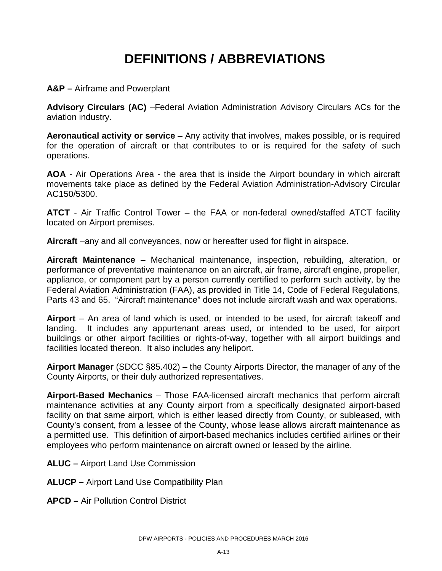### **DEFINITIONS / ABBREVIATIONS**

**A&P –** Airframe and Powerplant

**Advisory Circulars (AC)** –Federal Aviation Administration Advisory Circulars ACs for the aviation industry.

**Aeronautical activity or service** – Any activity that involves, makes possible, or is required for the operation of aircraft or that contributes to or is required for the safety of such operations.

**AOA** - Air Operations Area - the area that is inside the Airport boundary in which aircraft movements take place as defined by the Federal Aviation Administration-Advisory Circular AC150/5300.

**ATCT** - Air Traffic Control Tower – the FAA or non-federal owned/staffed ATCT facility located on Airport premises.

**Aircraft** –any and all conveyances, now or hereafter used for flight in airspace.

**Aircraft Maintenance** – Mechanical maintenance, inspection, rebuilding, alteration, or performance of preventative maintenance on an aircraft, air frame, aircraft engine, propeller, appliance, or component part by a person currently certified to perform such activity, by the Federal Aviation Administration (FAA), as provided in Title 14, Code of Federal Regulations, Parts 43 and 65. "Aircraft maintenance" does not include aircraft wash and wax operations.

**Airport** – An area of land which is used, or intended to be used, for aircraft takeoff and landing. It includes any appurtenant areas used, or intended to be used, for airport buildings or other airport facilities or rights-of-way, together with all airport buildings and facilities located thereon. It also includes any heliport.

**Airport Manager** (SDCC §85.402) – the County Airports Director, the manager of any of the County Airports, or their duly authorized representatives.

**Airport-Based Mechanics** – Those FAA-licensed aircraft mechanics that perform aircraft maintenance activities at any County airport from a specifically designated airport-based facility on that same airport, which is either leased directly from County, or subleased, with County's consent, from a lessee of the County, whose lease allows aircraft maintenance as a permitted use. This definition of airport-based mechanics includes certified airlines or their employees who perform maintenance on aircraft owned or leased by the airline.

**ALUC –** Airport Land Use Commission

**ALUCP –** Airport Land Use Compatibility Plan

**APCD –** Air Pollution Control District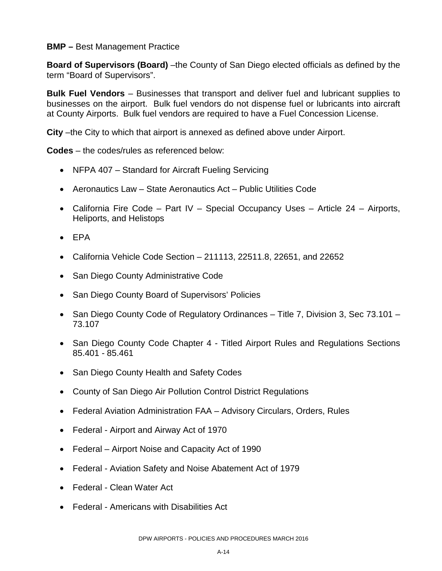#### **BMP –** Best Management Practice

**Board of Supervisors (Board)** –the County of San Diego elected officials as defined by the term "Board of Supervisors".

**Bulk Fuel Vendors** – Businesses that transport and deliver fuel and lubricant supplies to businesses on the airport. Bulk fuel vendors do not dispense fuel or lubricants into aircraft at County Airports. Bulk fuel vendors are required to have a Fuel Concession License.

**City** –the City to which that airport is annexed as defined above under Airport.

**Codes** – the codes/rules as referenced below:

- NFPA 407 Standard for Aircraft Fueling Servicing
- Aeronautics Law State Aeronautics Act Public Utilities Code
- California Fire Code Part IV Special Occupancy Uses Article 24 Airports, Heliports, and Helistops
- EPA
- California Vehicle Code Section  $-211113$ , 22511.8, 22651, and 22652
- San Diego County Administrative Code
- San Diego County Board of Supervisors' Policies
- San Diego County Code of Regulatory Ordinances Title 7, Division 3, Sec 73.101 73.107
- San Diego County Code Chapter 4 Titled Airport Rules and Regulations Sections 85.401 - 85.461
- San Diego County Health and Safety Codes
- County of San Diego Air Pollution Control District Regulations
- Federal Aviation Administration FAA Advisory Circulars, Orders, Rules
- Federal Airport and Airway Act of 1970
- Federal Airport Noise and Capacity Act of 1990
- Federal Aviation Safety and Noise Abatement Act of 1979
- Federal Clean Water Act
- Federal Americans with Disabilities Act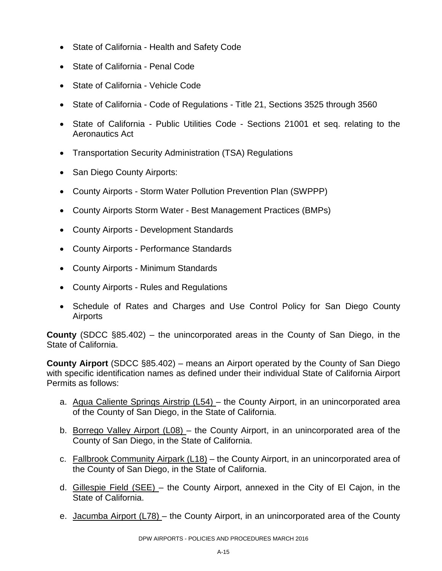- State of California Health and Safety Code
- State of California Penal Code
- State of California Vehicle Code
- State of California Code of Regulations Title 21, Sections 3525 through 3560
- State of California Public Utilities Code Sections 21001 et seq. relating to the Aeronautics Act
- Transportation Security Administration (TSA) Regulations
- San Diego County Airports:
- County Airports Storm Water Pollution Prevention Plan (SWPPP)
- County Airports Storm Water Best Management Practices (BMPs)
- County Airports Development Standards
- County Airports Performance Standards
- County Airports Minimum Standards
- County Airports Rules and Regulations
- Schedule of Rates and Charges and Use Control Policy for San Diego County Airports

**County** (SDCC §85.402) – the unincorporated areas in the County of San Diego, in the State of California.

**County Airport** (SDCC §85.402) – means an Airport operated by the County of San Diego with specific identification names as defined under their individual State of California Airport Permits as follows:

- a. Agua Caliente Springs Airstrip (L54) the County Airport, in an unincorporated area of the County of San Diego, in the State of California.
- b. Borrego Valley Airport (L08) the County Airport, in an unincorporated area of the County of San Diego, in the State of California.
- c. Fallbrook Community Airpark (L18) the County Airport, in an unincorporated area of the County of San Diego, in the State of California.
- d. Gillespie Field (SEE) the County Airport, annexed in the City of El Cajon, in the State of California.
- e. Jacumba Airport (L78) the County Airport, in an unincorporated area of the County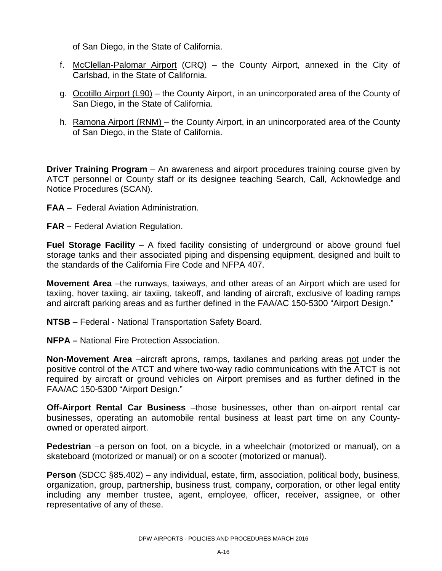of San Diego, in the State of California.

- f. McClellan-Palomar Airport (CRQ) the County Airport, annexed in the City of Carlsbad, in the State of California.
- g. Ocotillo Airport (L90) the County Airport, in an unincorporated area of the County of San Diego, in the State of California.
- h. Ramona Airport (RNM) the County Airport, in an unincorporated area of the County of San Diego, in the State of California.

**Driver Training Program** – An awareness and airport procedures training course given by ATCT personnel or County staff or its designee teaching Search, Call, Acknowledge and Notice Procedures (SCAN).

- **FAA** Federal Aviation Administration.
- **FAR –** Federal Aviation Regulation.

**Fuel Storage Facility** – A fixed facility consisting of underground or above ground fuel storage tanks and their associated piping and dispensing equipment, designed and built to the standards of the California Fire Code and NFPA 407.

**Movement Area** –the runways, taxiways, and other areas of an Airport which are used for taxiing, hover taxiing, air taxiing, takeoff, and landing of aircraft, exclusive of loading ramps and aircraft parking areas and as further defined in the FAA/AC 150-5300 "Airport Design."

**NTSB** – Federal - National Transportation Safety Board.

**NFPA –** National Fire Protection Association.

**Non-Movement Area** –aircraft aprons, ramps, taxilanes and parking areas not under the positive control of the ATCT and where two-way radio communications with the ATCT is not required by aircraft or ground vehicles on Airport premises and as further defined in the FAA/AC 150-5300 "Airport Design."

**Off-Airport Rental Car Business** –those businesses, other than on-airport rental car businesses, operating an automobile rental business at least part time on any Countyowned or operated airport.

**Pedestrian** –a person on foot, on a bicycle, in a wheelchair (motorized or manual), on a skateboard (motorized or manual) or on a scooter (motorized or manual).

**Person** (SDCC §85.402) – any individual, estate, firm, association, political body, business, organization, group, partnership, business trust, company, corporation, or other legal entity including any member trustee, agent, employee, officer, receiver, assignee, or other representative of any of these.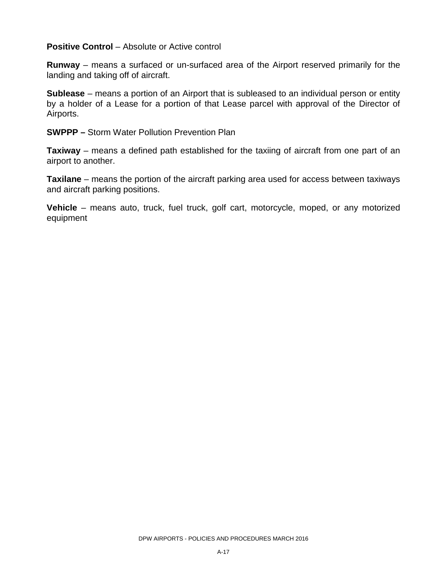**Positive Control** – Absolute or Active control

**Runway** – means a surfaced or un-surfaced area of the Airport reserved primarily for the landing and taking off of aircraft.

**Sublease** – means a portion of an Airport that is subleased to an individual person or entity by a holder of a Lease for a portion of that Lease parcel with approval of the Director of Airports.

**SWPPP –** Storm Water Pollution Prevention Plan

**Taxiway** – means a defined path established for the taxiing of aircraft from one part of an airport to another.

**Taxilane** – means the portion of the aircraft parking area used for access between taxiways and aircraft parking positions.

**Vehicle** – means auto, truck, fuel truck, golf cart, motorcycle, moped, or any motorized equipment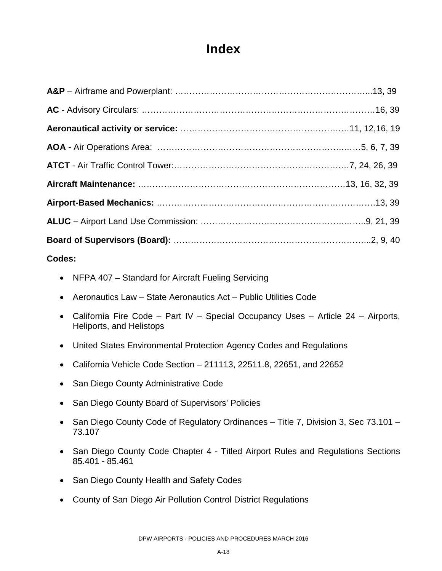### **Index**

#### **Codes:**

- NFPA 407 Standard for Aircraft Fueling Servicing
- Aeronautics Law State Aeronautics Act Public Utilities Code
- California Fire Code Part IV Special Occupancy Uses Article 24 Airports, Heliports, and Helistops
- United States Environmental Protection Agency Codes and Regulations
- California Vehicle Code Section 211113, 22511.8, 22651, and 22652
- San Diego County Administrative Code
- San Diego County Board of Supervisors' Policies
- San Diego County Code of Regulatory Ordinances Title 7, Division 3, Sec 73.101 73.107
- San Diego County Code Chapter 4 Titled Airport Rules and Regulations Sections 85.401 - 85.461
- San Diego County Health and Safety Codes
- County of San Diego Air Pollution Control District Regulations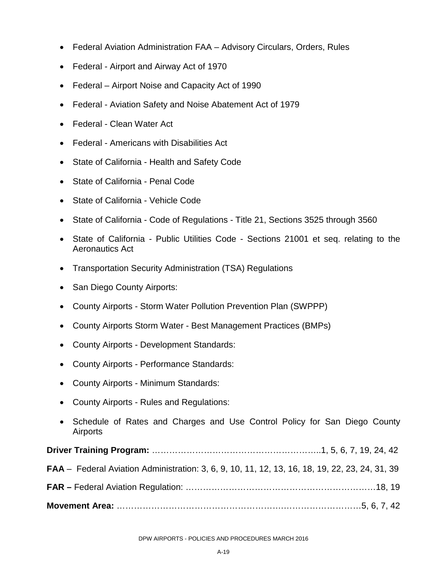- Federal Aviation Administration FAA Advisory Circulars, Orders, Rules
- Federal Airport and Airway Act of 1970
- Federal Airport Noise and Capacity Act of 1990
- Federal Aviation Safety and Noise Abatement Act of 1979
- Federal Clean Water Act
- Federal Americans with Disabilities Act
- State of California Health and Safety Code
- State of California Penal Code
- State of California Vehicle Code
- State of California Code of Regulations Title 21, Sections 3525 through 3560
- State of California Public Utilities Code Sections 21001 et seq. relating to the Aeronautics Act
- Transportation Security Administration (TSA) Regulations
- San Diego County Airports:
- County Airports Storm Water Pollution Prevention Plan (SWPPP)
- County Airports Storm Water Best Management Practices (BMPs)
- County Airports Development Standards:
- County Airports Performance Standards:
- County Airports Minimum Standards:
- County Airports Rules and Regulations:
- Schedule of Rates and Charges and Use Control Policy for San Diego County Airports

| <b>FAA</b> – Federal Aviation Administration: 3, 6, 9, 10, 11, 12, 13, 16, 18, 19, 22, 23, 24, 31, 39 |  |
|-------------------------------------------------------------------------------------------------------|--|
|                                                                                                       |  |
|                                                                                                       |  |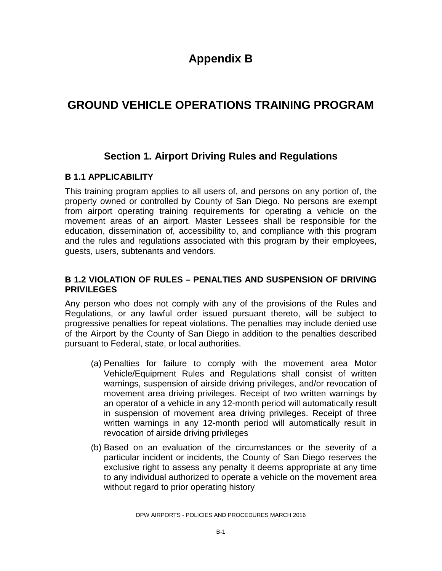### **Appendix B**

### **GROUND VEHICLE OPERATIONS TRAINING PROGRAM**

#### **Section 1. Airport Driving Rules and Regulations**

#### **B 1.1 APPLICABILITY**

This training program applies to all users of, and persons on any portion of, the property owned or controlled by County of San Diego. No persons are exempt from airport operating training requirements for operating a vehicle on the movement areas of an airport. Master Lessees shall be responsible for the education, dissemination of, accessibility to, and compliance with this program and the rules and regulations associated with this program by their employees, guests, users, subtenants and vendors.

#### **B 1.2 VIOLATION OF RULES – PENALTIES AND SUSPENSION OF DRIVING PRIVILEGES**

Any person who does not comply with any of the provisions of the Rules and Regulations, or any lawful order issued pursuant thereto, will be subject to progressive penalties for repeat violations. The penalties may include denied use of the Airport by the County of San Diego in addition to the penalties described pursuant to Federal, state, or local authorities.

- (a) Penalties for failure to comply with the movement area Motor Vehicle/Equipment Rules and Regulations shall consist of written warnings, suspension of airside driving privileges, and/or revocation of movement area driving privileges. Receipt of two written warnings by an operator of a vehicle in any 12-month period will automatically result in suspension of movement area driving privileges. Receipt of three written warnings in any 12-month period will automatically result in revocation of airside driving privileges
- (b) Based on an evaluation of the circumstances or the severity of a particular incident or incidents, the County of San Diego reserves the exclusive right to assess any penalty it deems appropriate at any time to any individual authorized to operate a vehicle on the movement area without regard to prior operating history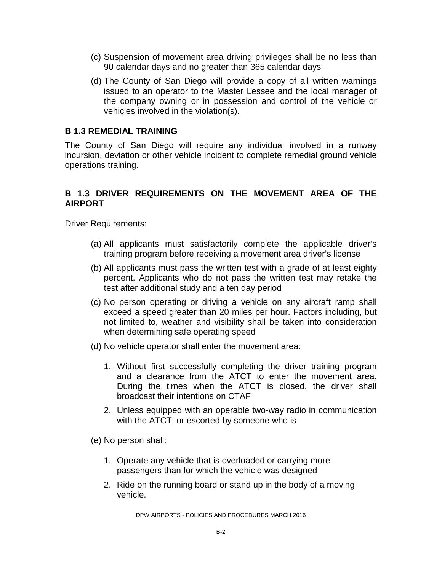- (c) Suspension of movement area driving privileges shall be no less than 90 calendar days and no greater than 365 calendar days
- (d) The County of San Diego will provide a copy of all written warnings issued to an operator to the Master Lessee and the local manager of the company owning or in possession and control of the vehicle or vehicles involved in the violation(s).

#### **B 1.3 REMEDIAL TRAINING**

The County of San Diego will require any individual involved in a runway incursion, deviation or other vehicle incident to complete remedial ground vehicle operations training.

#### **B 1.3 DRIVER REQUIREMENTS ON THE MOVEMENT AREA OF THE AIRPORT**

Driver Requirements:

- (a) All applicants must satisfactorily complete the applicable driver's training program before receiving a movement area driver's license
- (b) All applicants must pass the written test with a grade of at least eighty percent. Applicants who do not pass the written test may retake the test after additional study and a ten day period
- (c) No person operating or driving a vehicle on any aircraft ramp shall exceed a speed greater than 20 miles per hour. Factors including, but not limited to, weather and visibility shall be taken into consideration when determining safe operating speed
- (d) No vehicle operator shall enter the movement area:
	- 1. Without first successfully completing the driver training program and a clearance from the ATCT to enter the movement area. During the times when the ATCT is closed, the driver shall broadcast their intentions on CTAF
	- 2. Unless equipped with an operable two-way radio in communication with the ATCT; or escorted by someone who is

(e) No person shall:

- 1. Operate any vehicle that is overloaded or carrying more passengers than for which the vehicle was designed
- 2. Ride on the running board or stand up in the body of a moving vehicle.

DPW AIRPORTS - POLICIES AND PROCEDURES MARCH 2016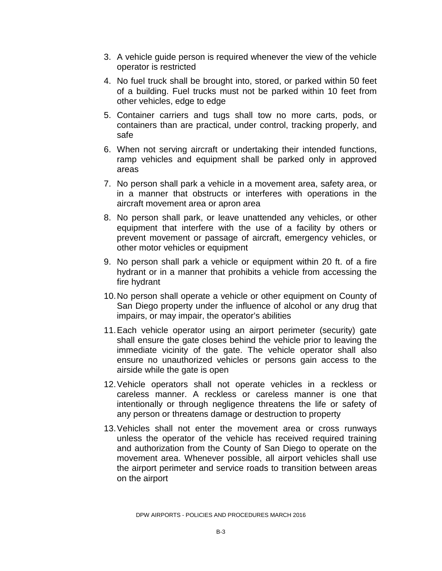- 3. A vehicle guide person is required whenever the view of the vehicle operator is restricted
- 4. No fuel truck shall be brought into, stored, or parked within 50 feet of a building. Fuel trucks must not be parked within 10 feet from other vehicles, edge to edge
- 5. Container carriers and tugs shall tow no more carts, pods, or containers than are practical, under control, tracking properly, and safe
- 6. When not serving aircraft or undertaking their intended functions, ramp vehicles and equipment shall be parked only in approved areas
- 7. No person shall park a vehicle in a movement area, safety area, or in a manner that obstructs or interferes with operations in the aircraft movement area or apron area
- 8. No person shall park, or leave unattended any vehicles, or other equipment that interfere with the use of a facility by others or prevent movement or passage of aircraft, emergency vehicles, or other motor vehicles or equipment
- 9. No person shall park a vehicle or equipment within 20 ft. of a fire hydrant or in a manner that prohibits a vehicle from accessing the fire hydrant
- 10.No person shall operate a vehicle or other equipment on County of San Diego property under the influence of alcohol or any drug that impairs, or may impair, the operator's abilities
- 11.Each vehicle operator using an airport perimeter (security) gate shall ensure the gate closes behind the vehicle prior to leaving the immediate vicinity of the gate. The vehicle operator shall also ensure no unauthorized vehicles or persons gain access to the airside while the gate is open
- 12.Vehicle operators shall not operate vehicles in a reckless or careless manner. A reckless or careless manner is one that intentionally or through negligence threatens the life or safety of any person or threatens damage or destruction to property
- 13.Vehicles shall not enter the movement area or cross runways unless the operator of the vehicle has received required training and authorization from the County of San Diego to operate on the movement area. Whenever possible, all airport vehicles shall use the airport perimeter and service roads to transition between areas on the airport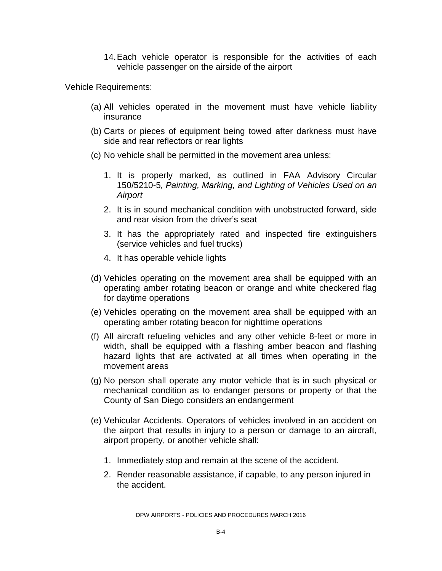14.Each vehicle operator is responsible for the activities of each vehicle passenger on the airside of the airport

Vehicle Requirements:

- (a) All vehicles operated in the movement must have vehicle liability insurance
- (b) Carts or pieces of equipment being towed after darkness must have side and rear reflectors or rear lights
- (c) No vehicle shall be permitted in the movement area unless:
	- 1. It is properly marked, as outlined in FAA Advisory Circular 150/5210-5*, Painting, Marking, and Lighting of Vehicles Used on an Airport*
	- 2. It is in sound mechanical condition with unobstructed forward, side and rear vision from the driver's seat
	- 3. It has the appropriately rated and inspected fire extinguishers (service vehicles and fuel trucks)
	- 4. It has operable vehicle lights
- (d) Vehicles operating on the movement area shall be equipped with an operating amber rotating beacon or orange and white checkered flag for daytime operations
- (e) Vehicles operating on the movement area shall be equipped with an operating amber rotating beacon for nighttime operations
- (f) All aircraft refueling vehicles and any other vehicle 8-feet or more in width, shall be equipped with a flashing amber beacon and flashing hazard lights that are activated at all times when operating in the movement areas
- (g) No person shall operate any motor vehicle that is in such physical or mechanical condition as to endanger persons or property or that the County of San Diego considers an endangerment
- (e) Vehicular Accidents. Operators of vehicles involved in an accident on the airport that results in injury to a person or damage to an aircraft, airport property, or another vehicle shall:
	- 1. Immediately stop and remain at the scene of the accident.
	- 2. Render reasonable assistance, if capable, to any person injured in the accident.

DPW AIRPORTS - POLICIES AND PROCEDURES MARCH 2016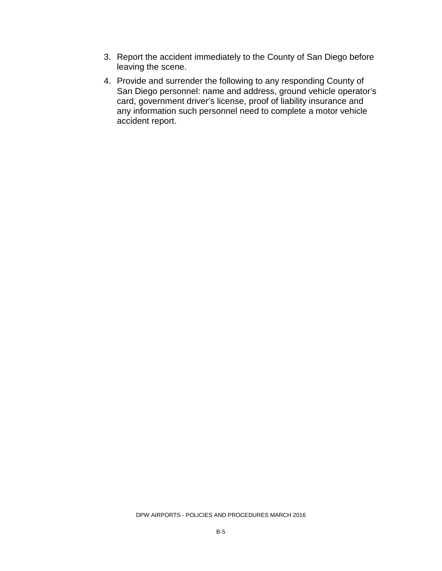- 3. Report the accident immediately to the County of San Diego before leaving the scene.
- 4. Provide and surrender the following to any responding County of San Diego personnel: name and address, ground vehicle operator's card, government driver's license, proof of liability insurance and any information such personnel need to complete a motor vehicle accident report.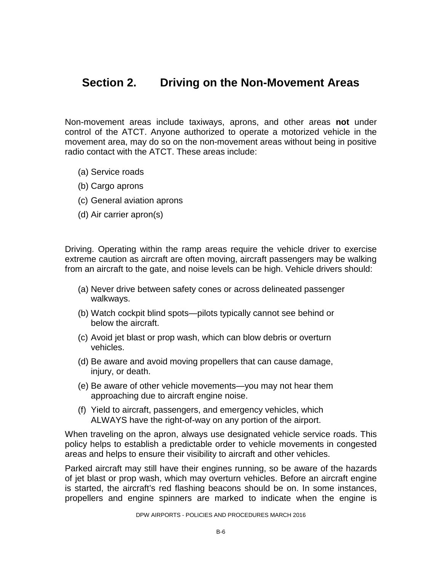### **Section 2. Driving on the Non-Movement Areas**

Non-movement areas include taxiways, aprons, and other areas **not** under control of the ATCT. Anyone authorized to operate a motorized vehicle in the movement area, may do so on the non-movement areas without being in positive radio contact with the ATCT. These areas include:

- (a) Service roads
- (b) Cargo aprons
- (c) General aviation aprons
- (d) Air carrier apron(s)

Driving. Operating within the ramp areas require the vehicle driver to exercise extreme caution as aircraft are often moving, aircraft passengers may be walking from an aircraft to the gate, and noise levels can be high. Vehicle drivers should:

- (a) Never drive between safety cones or across delineated passenger walkways.
- (b) Watch cockpit blind spots—pilots typically cannot see behind or below the aircraft.
- (c) Avoid jet blast or prop wash, which can blow debris or overturn vehicles.
- (d) Be aware and avoid moving propellers that can cause damage, injury, or death.
- (e) Be aware of other vehicle movements—you may not hear them approaching due to aircraft engine noise.
- (f) Yield to aircraft, passengers, and emergency vehicles, which ALWAYS have the right-of-way on any portion of the airport.

When traveling on the apron, always use designated vehicle service roads. This policy helps to establish a predictable order to vehicle movements in congested areas and helps to ensure their visibility to aircraft and other vehicles.

Parked aircraft may still have their engines running, so be aware of the hazards of jet blast or prop wash, which may overturn vehicles. Before an aircraft engine is started, the aircraft's red flashing beacons should be on. In some instances, propellers and engine spinners are marked to indicate when the engine is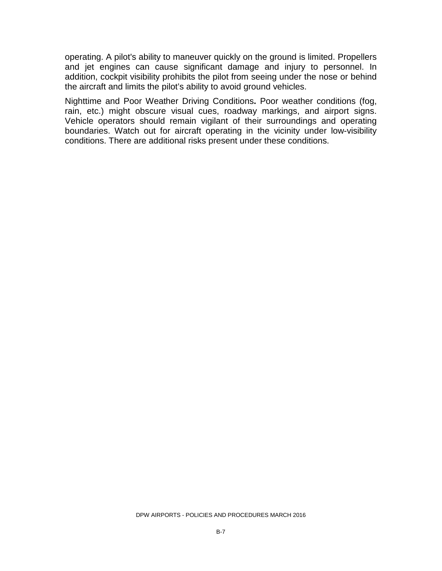operating. A pilot's ability to maneuver quickly on the ground is limited. Propellers and jet engines can cause significant damage and injury to personnel. In addition, cockpit visibility prohibits the pilot from seeing under the nose or behind the aircraft and limits the pilot's ability to avoid ground vehicles.

Nighttime and Poor Weather Driving Conditions**.** Poor weather conditions (fog, rain, etc.) might obscure visual cues, roadway markings, and airport signs. Vehicle operators should remain vigilant of their surroundings and operating boundaries. Watch out for aircraft operating in the vicinity under low-visibility conditions. There are additional risks present under these conditions.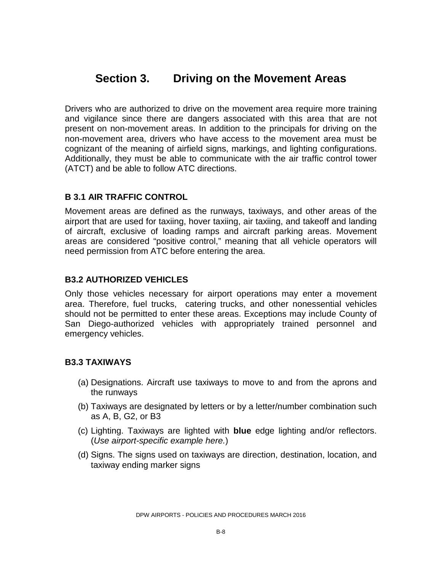### **Section 3. Driving on the Movement Areas**

Drivers who are authorized to drive on the movement area require more training and vigilance since there are dangers associated with this area that are not present on non-movement areas. In addition to the principals for driving on the non-movement area, drivers who have access to the movement area must be cognizant of the meaning of airfield signs, markings, and lighting configurations. Additionally, they must be able to communicate with the air traffic control tower (ATCT) and be able to follow ATC directions.

#### **B 3.1 AIR TRAFFIC CONTROL**

Movement areas are defined as the runways, taxiways, and other areas of the airport that are used for taxiing, hover taxiing, air taxiing, and takeoff and landing of aircraft, exclusive of loading ramps and aircraft parking areas. Movement areas are considered "positive control," meaning that all vehicle operators will need permission from ATC before entering the area.

#### **B3.2 AUTHORIZED VEHICLES**

Only those vehicles necessary for airport operations may enter a movement area. Therefore, fuel trucks, catering trucks, and other nonessential vehicles should not be permitted to enter these areas. Exceptions may include County of San Diego-authorized vehicles with appropriately trained personnel and emergency vehicles.

#### **B3.3 TAXIWAYS**

- (a) Designations. Aircraft use taxiways to move to and from the aprons and the runways
- (b) Taxiways are designated by letters or by a letter/number combination such as A, B, G2, or B3
- (c) Lighting. Taxiways are lighted with **blue** edge lighting and/or reflectors. (*Use airport-specific example here.*)
- (d) Signs. The signs used on taxiways are direction, destination, location, and taxiway ending marker signs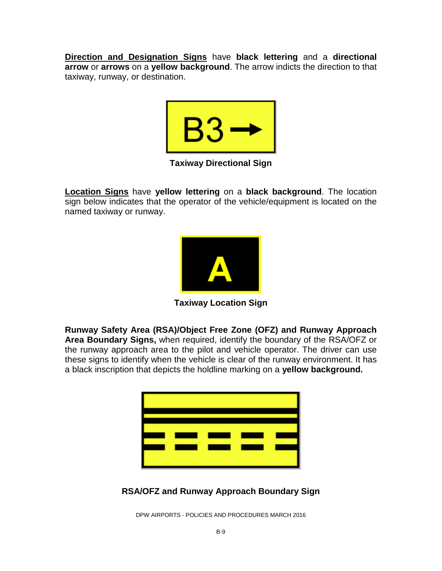**Direction and Designation Signs** have **black lettering** and a **directional arrow** or **arrows** on a **yellow background**. The arrow indicts the direction to that taxiway, runway, or destination.



**Taxiway Directional Sign**

**Location Signs** have **yellow lettering** on a **black background**. The location sign below indicates that the operator of the vehicle/equipment is located on the named taxiway or runway.



**Taxiway Location Sign**

**Runway Safety Area (RSA)/Object Free Zone (OFZ) and Runway Approach Area Boundary Signs,** when required, identify the boundary of the RSA/OFZ or the runway approach area to the pilot and vehicle operator. The driver can use these signs to identify when the vehicle is clear of the runway environment. It has a black inscription that depicts the holdline marking on a **yellow background.**



#### **RSA/OFZ and Runway Approach Boundary Sign**

DPW AIRPORTS - POLICIES AND PROCEDURES MARCH 2016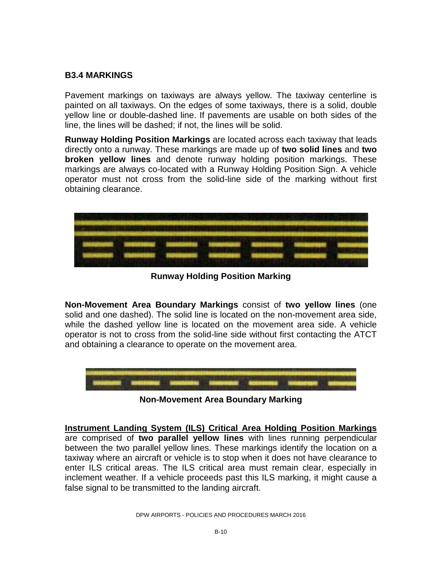#### **B3.4 MARKINGS**

Pavement markings on taxiways are always yellow. The taxiway centerline is painted on all taxiways. On the edges of some taxiways, there is a solid, double yellow line or double-dashed line. If pavements are usable on both sides of the line, the lines will be dashed; if not, the lines will be solid.

**Runway Holding Position Markings** are located across each taxiway that leads directly onto a runway. These markings are made up of **two solid lines** and **two broken yellow lines** and denote runway holding position markings. These markings are always co-located with a Runway Holding Position Sign. A vehicle operator must not cross from the solid-line side of the marking without first obtaining clearance.



**Runway Holding Position Marking**

**Non-Movement Area Boundary Markings** consist of **two yellow lines** (one solid and one dashed). The solid line is located on the non-movement area side, while the dashed yellow line is located on the movement area side. A vehicle operator is not to cross from the solid-line side without first contacting the ATCT and obtaining a clearance to operate on the movement area.



**Non-Movement Area Boundary Marking**

**Instrument Landing System (ILS) Critical Area Holding Position Markings** are comprised of **two parallel yellow lines** with lines running perpendicular between the two parallel yellow lines. These markings identify the location on a taxiway where an aircraft or vehicle is to stop when it does not have clearance to enter ILS critical areas. The ILS critical area must remain clear, especially in inclement weather. If a vehicle proceeds past this ILS marking, it might cause a false signal to be transmitted to the landing aircraft.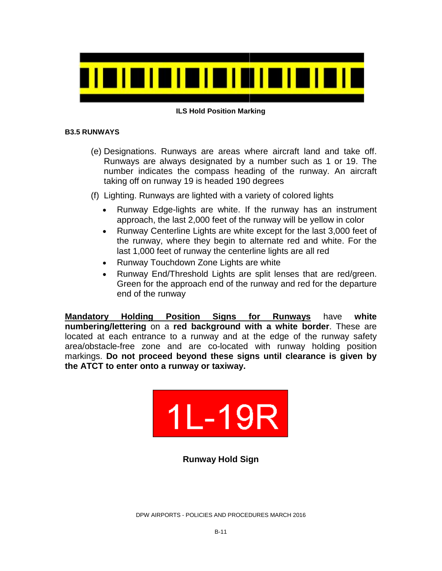

#### **ILS Hold Position Marking**

#### **B3.5 RUNWAYS**

- (e) Designations. Runways are areas where aircraft land and take off. Runways are always designated by a number such as 1 or 19. The number indicates the compass heading of the runway. An aircraft taking off on runway 19 is headed 190 degrees
- (f) Lighting. Runways are lighted with a variety of colored lights
	- Runway Edge-lights are white. If the runway has an instrument approach, the last 2,000 feet of the runway will be yellow in color
	- Runway Centerline Lights are white except for the last 3,000 feet of the runway, where they begin to alternate red and white. For the last 1,000 feet of runway the centerline lights are all red
	- Runway Touchdown Zone Lights are white
	- Runway End/Threshold Lights are split lenses that are red/green. Green for the approach end of the runway and red for the departure end of the runway

**Mandatory Holding Position Signs for Runways** have **white numbering/lettering** on a **red background with a white border**. These are located at each entrance to a runway and at the edge of the runway safety area/obstacle-free zone and are co-located with runway holding position markings. **Do not proceed beyond these signs until clearance is given by the ATCT to enter onto a runway or taxiway.**



**Runway Hold Sign**

DPW AIRPORTS - POLICIES AND PROCEDURES MARCH 2016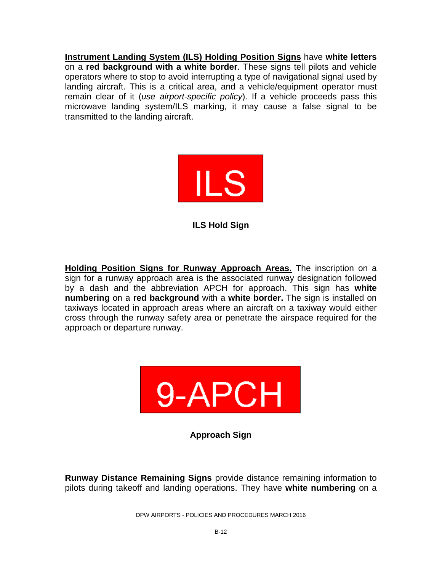**Instrument Landing System (ILS) Holding Position Signs** have **white letters** on a **red background with a white border**. These signs tell pilots and vehicle operators where to stop to avoid interrupting a type of navigational signal used by landing aircraft. This is a critical area, and a vehicle/equipment operator must remain clear of it (*use airport-specific policy*). If a vehicle proceeds pass this microwave landing system/ILS marking, it may cause a false signal to be transmitted to the landing aircraft.



**ILS Hold Sign**

**Holding Position Signs for Runway Approach Areas.** The inscription on a sign for a runway approach area is the associated runway designation followed by a dash and the abbreviation APCH for approach. This sign has **white numbering** on a **red background** with a **white border.** The sign is installed on taxiways located in approach areas where an aircraft on a taxiway would either cross through the runway safety area or penetrate the airspace required for the approach or departure runway.



**Approach Sign**

**Runway Distance Remaining Signs** provide distance remaining information to pilots during takeoff and landing operations. They have **white numbering** on a

DPW AIRPORTS - POLICIES AND PROCEDURES MARCH 2016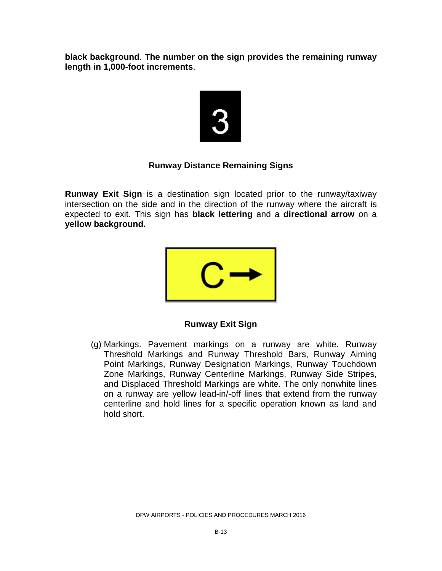**black background**. **The number on the sign provides the remaining runway length in 1,000-foot increments**.



#### **Runway Distance Remaining Signs**

**Runway Exit Sign** is a destination sign located prior to the runway/taxiway intersection on the side and in the direction of the runway where the aircraft is expected to exit. This sign has **black lettering** and a **directional arrow** on a **yellow background.**



#### **Runway Exit Sign**

(g) Markings. Pavement markings on a runway are white. Runway Threshold Markings and Runway Threshold Bars, Runway Aiming Point Markings, Runway Designation Markings, Runway Touchdown Zone Markings, Runway Centerline Markings, Runway Side Stripes, and Displaced Threshold Markings are white. The only nonwhite lines on a runway are yellow lead-in/-off lines that extend from the runway centerline and hold lines for a specific operation known as land and hold short.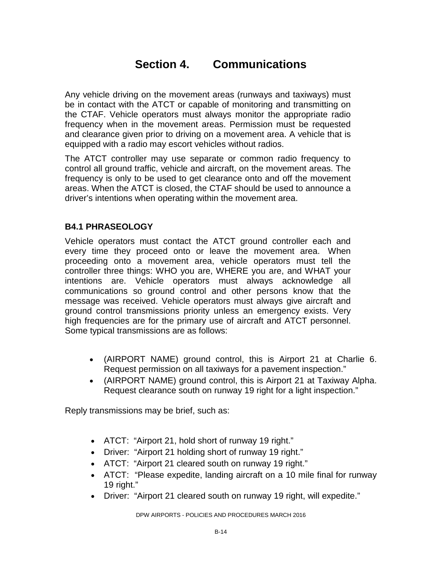### **Section 4. Communications**

Any vehicle driving on the movement areas (runways and taxiways) must be in contact with the ATCT or capable of monitoring and transmitting on the CTAF. Vehicle operators must always monitor the appropriate radio frequency when in the movement areas. Permission must be requested and clearance given prior to driving on a movement area. A vehicle that is equipped with a radio may escort vehicles without radios.

The ATCT controller may use separate or common radio frequency to control all ground traffic, vehicle and aircraft, on the movement areas. The frequency is only to be used to get clearance onto and off the movement areas. When the ATCT is closed, the CTAF should be used to announce a driver's intentions when operating within the movement area.

#### **B4.1 PHRASEOLOGY**

Vehicle operators must contact the ATCT ground controller each and every time they proceed onto or leave the movement area. When proceeding onto a movement area, vehicle operators must tell the controller three things: WHO you are, WHERE you are, and WHAT your intentions are. Vehicle operators must always acknowledge all communications so ground control and other persons know that the message was received. Vehicle operators must always give aircraft and ground control transmissions priority unless an emergency exists. Very high frequencies are for the primary use of aircraft and ATCT personnel. Some typical transmissions are as follows:

- (AIRPORT NAME) ground control, this is Airport 21 at Charlie 6. Request permission on all taxiways for a pavement inspection."
- (AIRPORT NAME) ground control, this is Airport 21 at Taxiway Alpha. Request clearance south on runway 19 right for a light inspection."

Reply transmissions may be brief, such as:

- ATCT: "Airport 21, hold short of runway 19 right."
- Driver: "Airport 21 holding short of runway 19 right."
- ATCT: "Airport 21 cleared south on runway 19 right."
- ATCT: "Please expedite, landing aircraft on a 10 mile final for runway 19 right."
- Driver: "Airport 21 cleared south on runway 19 right, will expedite."

DPW AIRPORTS - POLICIES AND PROCEDURES MARCH 2016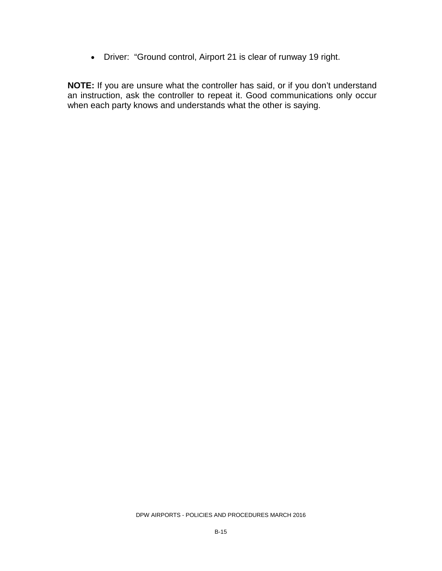• Driver: "Ground control, Airport 21 is clear of runway 19 right.

**NOTE:** If you are unsure what the controller has said, or if you don't understand an instruction, ask the controller to repeat it. Good communications only occur when each party knows and understands what the other is saying.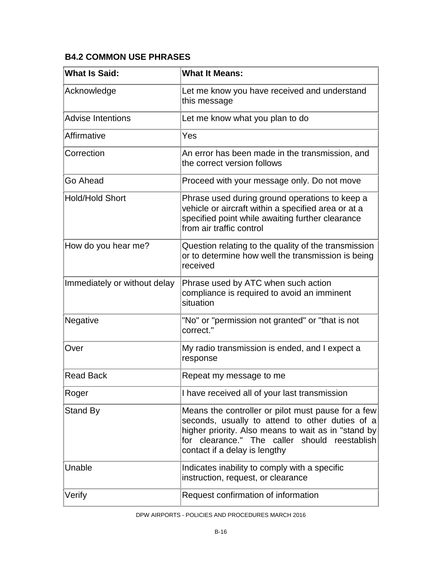#### **B4.2 COMMON USE PHRASES**

| <b>What Is Said:</b>         | <b>What It Means:</b>                                                                                                                                                                                                                          |
|------------------------------|------------------------------------------------------------------------------------------------------------------------------------------------------------------------------------------------------------------------------------------------|
| Acknowledge                  | Let me know you have received and understand<br>this message                                                                                                                                                                                   |
| <b>Advise Intentions</b>     | Let me know what you plan to do                                                                                                                                                                                                                |
| Affirmative                  | Yes                                                                                                                                                                                                                                            |
| Correction                   | An error has been made in the transmission, and<br>the correct version follows                                                                                                                                                                 |
| Go Ahead                     | Proceed with your message only. Do not move                                                                                                                                                                                                    |
| <b>Hold/Hold Short</b>       | Phrase used during ground operations to keep a<br>vehicle or aircraft within a specified area or at a<br>specified point while awaiting further clearance<br>from air traffic control                                                          |
| How do you hear me?          | Question relating to the quality of the transmission<br>or to determine how well the transmission is being<br>received                                                                                                                         |
| Immediately or without delay | Phrase used by ATC when such action<br>compliance is required to avoid an imminent<br>situation                                                                                                                                                |
| Negative                     | "No" or "permission not granted" or "that is not<br>correct."                                                                                                                                                                                  |
| Over                         | My radio transmission is ended, and I expect a<br>response                                                                                                                                                                                     |
| <b>Read Back</b>             | Repeat my message to me                                                                                                                                                                                                                        |
| Roger                        | I have received all of your last transmission                                                                                                                                                                                                  |
| Stand By                     | Means the controller or pilot must pause for a few<br>seconds, usually to attend to other duties of a<br>higher priority. Also means to wait as in "stand by<br>for clearance." The caller should reestablish<br>contact if a delay is lengthy |
| Unable                       | Indicates inability to comply with a specific<br>instruction, request, or clearance                                                                                                                                                            |
| Verify                       | Request confirmation of information                                                                                                                                                                                                            |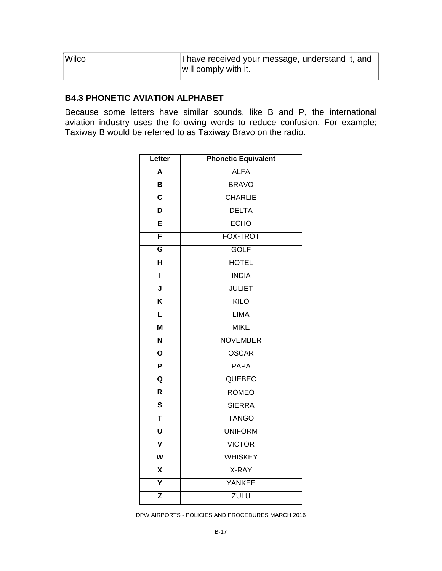| Wilco | I have received your message, understand it, and<br>will comply with it. |
|-------|--------------------------------------------------------------------------|
|       |                                                                          |

#### **B4.3 PHONETIC AVIATION ALPHABET**

Because some letters have similar sounds, like B and P, the international aviation industry uses the following words to reduce confusion. For example; Taxiway B would be referred to as Taxiway Bravo on the radio.

| Letter                  | <b>Phonetic Equivalent</b> |
|-------------------------|----------------------------|
| $\overline{\mathsf{A}}$ | <b>ALFA</b>                |
| B                       | <b>BRAVO</b>               |
| $\overline{\mathsf{c}}$ | <b>CHARLIE</b>             |
| $\overline{\mathsf{D}}$ | <b>DELTA</b>               |
| Ē                       | <b>ECHO</b>                |
| F                       | <b>FOX-TROT</b>            |
| G                       | <b>GOLF</b>                |
| $\overline{\mathsf{H}}$ | <b>HOTEL</b>               |
| ī                       | <b>INDIA</b>               |
| $\overline{\mathsf{J}}$ | <b>JULIET</b>              |
| $\overline{\mathsf{K}}$ | KILO                       |
| ī                       | <b>LIMA</b>                |
| M                       | <b>MIKE</b>                |
| $\overline{\mathsf{N}}$ | <b>NOVEMBER</b>            |
| $\overline{\mathsf{o}}$ | <b>OSCAR</b>               |
| $\overline{\mathsf{P}}$ | <b>PAPA</b>                |
| Q                       | QUEBEC                     |
| $\overline{\mathsf{R}}$ | <b>ROMEO</b>               |
| $\overline{\mathsf{s}}$ | <b>SIERRA</b>              |
| Ŧ                       | <b>TANGO</b>               |
| $\overline{\mathtt{U}}$ | <b>UNIFORM</b>             |
| $\overline{\textbf{v}}$ | <b>VICTOR</b>              |
| $\overline{\mathsf{w}}$ | <b>WHISKEY</b>             |
| $\overline{\mathsf{x}}$ | X-RAY                      |
| Ÿ                       | YANKEE                     |
| $\overline{\mathsf{z}}$ | <b>ZULU</b>                |

DPW AIRPORTS - POLICIES AND PROCEDURES MARCH 2016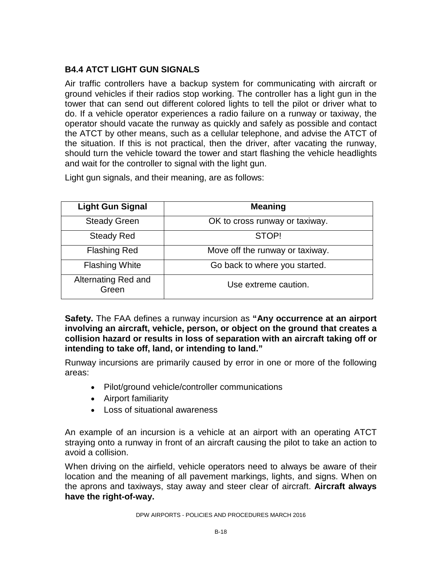#### **B4.4 ATCT LIGHT GUN SIGNALS**

Air traffic controllers have a backup system for communicating with aircraft or ground vehicles if their radios stop working. The controller has a light gun in the tower that can send out different colored lights to tell the pilot or driver what to do. If a vehicle operator experiences a radio failure on a runway or taxiway, the operator should vacate the runway as quickly and safely as possible and contact the ATCT by other means, such as a cellular telephone, and advise the ATCT of the situation. If this is not practical, then the driver, after vacating the runway, should turn the vehicle toward the tower and start flashing the vehicle headlights and wait for the controller to signal with the light gun.

Light gun signals, and their meaning, are as follows:

| <b>Light Gun Signal</b>      | <b>Meaning</b>                  |
|------------------------------|---------------------------------|
| <b>Steady Green</b>          | OK to cross runway or taxiway.  |
| <b>Steady Red</b>            | STOP!                           |
| <b>Flashing Red</b>          | Move off the runway or taxiway. |
| <b>Flashing White</b>        | Go back to where you started.   |
| Alternating Red and<br>Green | Use extreme caution.            |

**Safety.** The FAA defines a runway incursion as **"Any occurrence at an airport involving an aircraft, vehicle, person, or object on the ground that creates a collision hazard or results in loss of separation with an aircraft taking off or intending to take off, land, or intending to land."**

Runway incursions are primarily caused by error in one or more of the following areas:

- Pilot/ground vehicle/controller communications
- Airport familiarity
- Loss of situational awareness

An example of an incursion is a vehicle at an airport with an operating ATCT straying onto a runway in front of an aircraft causing the pilot to take an action to avoid a collision.

When driving on the airfield, vehicle operators need to always be aware of their location and the meaning of all pavement markings, lights, and signs. When on the aprons and taxiways, stay away and steer clear of aircraft. **Aircraft always have the right-of-way.**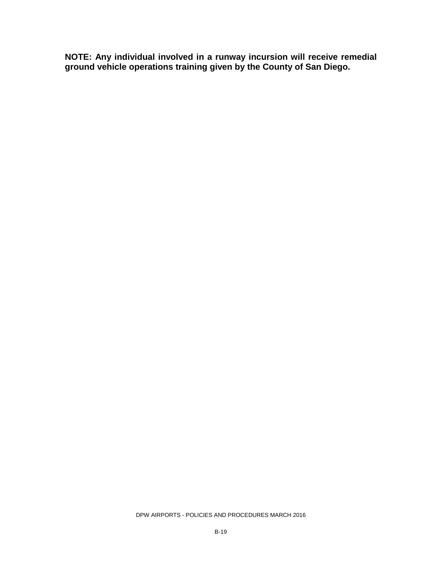**NOTE: Any individual involved in a runway incursion will receive remedial ground vehicle operations training given by the County of San Diego.**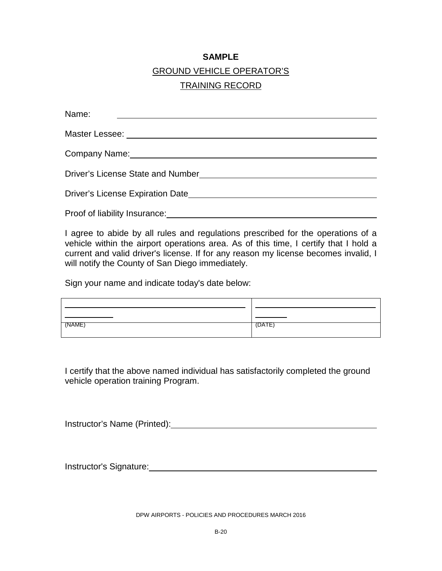#### **SAMPLE**

#### GROUND VEHICLE OPERATOR'S

#### TRAINING RECORD

| Name:                                          |  |  |
|------------------------------------------------|--|--|
| Master Lessee: _______________________________ |  |  |
| Company Name: Company Name:                    |  |  |
| <b>Driver's License State and Number</b>       |  |  |
| Driver's License Expiration Date               |  |  |
| Proof of liability Insurance:                  |  |  |

I agree to abide by all rules and regulations prescribed for the operations of a vehicle within the airport operations area. As of this time, I certify that I hold a current and valid driver's license. If for any reason my license becomes invalid, I will notify the County of San Diego immediately.

Sign your name and indicate today's date below:

| \AME) |  |
|-------|--|
|       |  |

I certify that the above named individual has satisfactorily completed the ground vehicle operation training Program.

Instructor's Name (Printed): Manual Annual Annual Annual Annual Annual Annual Annual Annual Annual Annual Annu

Instructor's Signature:<br>
<u>Instructor's Signature:</u>

DPW AIRPORTS - POLICIES AND PROCEDURES MARCH 2016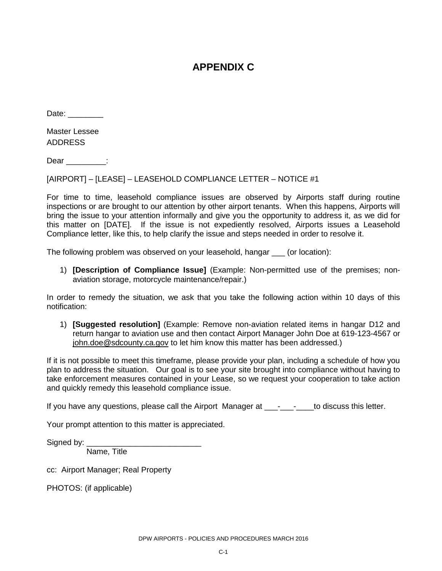#### **APPENDIX C**

Date:

Master Lessee ADDRESS

Dear \_\_\_\_\_\_\_\_\_:

[AIRPORT] – [LEASE] – LEASEHOLD COMPLIANCE LETTER – NOTICE #1

For time to time, leasehold compliance issues are observed by Airports staff during routine inspections or are brought to our attention by other airport tenants. When this happens, Airports will bring the issue to your attention informally and give you the opportunity to address it, as we did for this matter on [DATE]. If the issue is not expediently resolved, Airports issues a Leasehold Compliance letter, like this, to help clarify the issue and steps needed in order to resolve it.

The following problem was observed on your leasehold, hangar \_\_\_ (or location):

1) **[Description of Compliance Issue]** (Example: Non-permitted use of the premises; nonaviation storage, motorcycle maintenance/repair.)

In order to remedy the situation, we ask that you take the following action within 10 days of this notification:

1) **[Suggested resolution]** (Example: Remove non-aviation related items in hangar D12 and return hangar to aviation use and then contact Airport Manager John Doe at 619-123-4567 or [john.doe@sdcounty.ca.gov](mailto:john.doe@sdcounty.ca.gov) to let him know this matter has been addressed.)

If it is not possible to meet this timeframe, please provide your plan, including a schedule of how you plan to address the situation. Our goal is to see your site brought into compliance without having to take enforcement measures contained in your Lease, so we request your cooperation to take action and quickly remedy this leasehold compliance issue.

If you have any questions, please call the Airport Manager at \_\_\_-\_\_\_-\_\_\_to discuss this letter.

Your prompt attention to this matter is appreciated.

Signed by: \_\_\_\_\_\_\_\_\_\_\_\_\_\_\_\_\_\_\_\_\_\_\_\_\_\_\_\_\_\_\_\_ Name, Title

cc: Airport Manager; Real Property

PHOTOS: (if applicable)